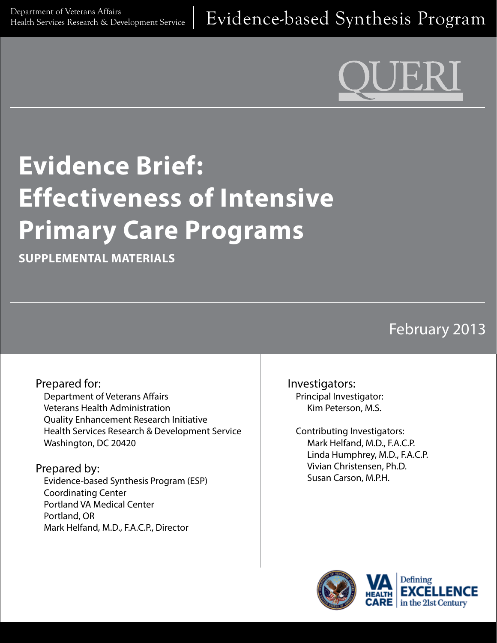# **Evidence Brief: Effectiveness of Intensive Primary Care Programs**

**SUPPLEMENTAL MATERIALS**

February 2013

#### Prepared for: Department of Veterans Affairs Veterans Health Administration Quality Enhancement Research Initiative Health Services Research & Development Service Washington, DC 20420

Prepared by: Evidence-based Synthesis Program (ESP) Coordinating Center Portland VA Medical Center Portland, OR Mark Helfand, M.D., F.A.C.P., Director

Investigators: Principal Investigator: Kim Peterson, M.S.

Contributing Investigators: Mark Helfand, M.D., F.A.C.P. Linda Humphrey, M.D., F.A.C.P. Vivian Christensen, Ph.D. Susan Carson, M.P.H.

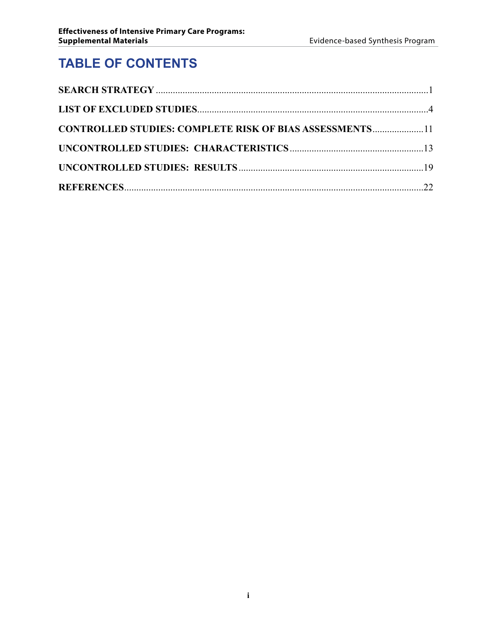# **TABLE OF CONTENTS**

| <b>CONTROLLED STUDIES: COMPLETE RISK OF BIAS ASSESSMENTS11</b> |  |
|----------------------------------------------------------------|--|
|                                                                |  |
|                                                                |  |
|                                                                |  |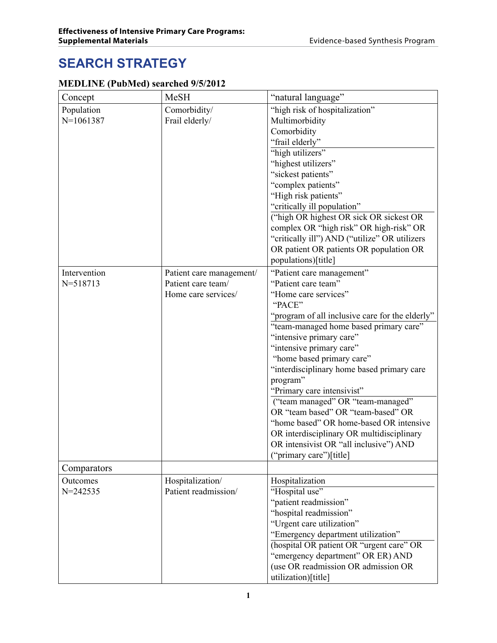# <span id="page-2-0"></span>**SEARCH STRATEGY**

#### **MEDLINE (PubMed) searched 9/5/2012**

| Concept      | <b>MeSH</b>              | "natural language"                              |
|--------------|--------------------------|-------------------------------------------------|
| Population   | Comorbidity/             | "high risk of hospitalization"                  |
| $N=1061387$  | Frail elderly/           | Multimorbidity                                  |
|              |                          | Comorbidity                                     |
|              |                          | "frail elderly"                                 |
|              |                          | "high utilizers"                                |
|              |                          | "highest utilizers"                             |
|              |                          | "sickest patients"                              |
|              |                          | "complex patients"                              |
|              |                          | "High risk patients"                            |
|              |                          | "critically ill population"                     |
|              |                          | ("high OR highest OR sick OR sickest OR         |
|              |                          | complex OR "high risk" OR high-risk" OR         |
|              |                          | "critically ill") AND ("utilize" OR utilizers   |
|              |                          | OR patient OR patients OR population OR         |
|              |                          | populations)[title]                             |
| Intervention | Patient care management/ | "Patient care management"                       |
| N=518713     | Patient care team/       | "Patient care team"                             |
|              | Home care services/      | "Home care services"                            |
|              |                          | "PACE"                                          |
|              |                          | "program of all inclusive care for the elderly" |
|              |                          | "team-managed home based primary care"          |
|              |                          | "intensive primary care"                        |
|              |                          | "intensive primary care"                        |
|              |                          | "home based primary care"                       |
|              |                          | "interdisciplinary home based primary care      |
|              |                          | program"                                        |
|              |                          | "Primary care intensivist"                      |
|              |                          | ("team managed" OR "team-managed"               |
|              |                          | OR "team based" OR "team-based" OR              |
|              |                          | "home based" OR home-based OR intensive         |
|              |                          | OR interdisciplinary OR multidisciplinary       |
|              |                          | OR intensivist OR "all inclusive") AND          |
|              |                          | ("primary care")[title]                         |
| Comparators  |                          |                                                 |
| Outcomes     | Hospitalization/         | Hospitalization                                 |
| $N = 242535$ | Patient readmission/     | "Hospital use"                                  |
|              |                          | "patient readmission"                           |
|              |                          | "hospital readmission"                          |
|              |                          | "Urgent care utilization"                       |
|              |                          | "Emergency department utilization"              |
|              |                          | (hospital OR patient OR "urgent care" OR        |
|              |                          | "emergency department" OR ER) AND               |
|              |                          | (use OR readmission OR admission OR             |
|              |                          | utilization)[title]                             |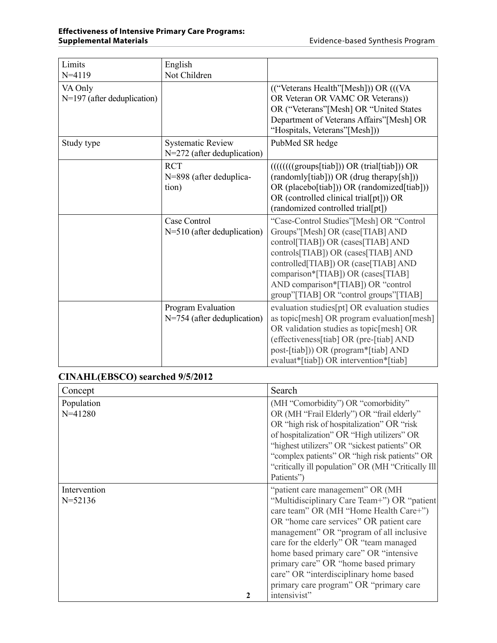| Limits                        | English                       |                                                                                                      |
|-------------------------------|-------------------------------|------------------------------------------------------------------------------------------------------|
| $N = 4119$                    | Not Children                  |                                                                                                      |
| VA Only                       |                               | (("Veterans Health"[Mesh])) OR (((VA)                                                                |
| $N=197$ (after deduplication) |                               | OR Veteran OR VAMC OR Veterans))                                                                     |
|                               |                               | OR ("Veterans"[Mesh] OR "United States                                                               |
|                               |                               | Department of Veterans Affairs"[Mesh] OR                                                             |
|                               |                               | "Hospitals, Veterans"[Mesh]))                                                                        |
| Study type                    | <b>Systematic Review</b>      | PubMed SR hedge                                                                                      |
|                               | $N=272$ (after deduplication) |                                                                                                      |
|                               | <b>RCT</b>                    | $((((((\text{groups}[\text{t}]\text{i}])) \text{ OR } (\text{trial}[\text{t}]\text{i}]) \text{ OR }$ |
|                               | N=898 (after deduplica-       | (randomly[tiab])) OR (drug therapy[sh]))                                                             |
|                               | tion)                         | OR (placebo[tiab])) OR (randomized[tiab]))                                                           |
|                               |                               | OR (controlled clinical trial[pt])) OR                                                               |
|                               |                               | (randomized controlled trial[pt])                                                                    |
|                               | Case Control                  | "Case-Control Studies"[Mesh] OR "Control                                                             |
|                               | $N=510$ (after deduplication) | Groups"[Mesh] OR (case[TIAB] AND                                                                     |
|                               |                               | control[TIAB]) OR (cases[TIAB] AND                                                                   |
|                               |                               | controls[TIAB]) OR (cases[TIAB] AND                                                                  |
|                               |                               | controlled [TIAB]) OR (case [TIAB] AND                                                               |
|                               |                               | comparison*[TIAB]) OR (cases[TIAB]                                                                   |
|                               |                               | AND comparison*[TIAB]) OR "control                                                                   |
|                               |                               | group"[TIAB] OR "control groups"[TIAB]                                                               |
|                               | <b>Program Evaluation</b>     | evaluation studies [pt] OR evaluation studies                                                        |
|                               | N=754 (after deduplication)   | as topic[mesh] OR program evaluation[mesh]                                                           |
|                               |                               | OR validation studies as topic[mesh] OR                                                              |
|                               |                               | (effectiveness[tiab] OR (pre-[tiab] AND                                                              |
|                               |                               | post-[tiab])) OR (program*[tiab] AND                                                                 |
|                               |                               | evaluat*[tiab]) OR intervention*[tiab]                                                               |

#### **CINAHL(EBSCO) searched 9/5/2012**

| Concept                                | Search                                             |
|----------------------------------------|----------------------------------------------------|
| Population                             | (MH "Comorbidity") OR "comorbidity"                |
| $N = 41280$                            | OR (MH "Frail Elderly") OR "frail elderly"         |
|                                        | OR "high risk of hospitalization" OR "risk"        |
|                                        | of hospitalization" OR "High utilizers" OR         |
|                                        | "highest utilizers" OR "sickest patients" OR       |
|                                        | "complex patients" OR "high risk patients" OR      |
|                                        | "critically ill population" OR (MH "Critically Ill |
|                                        | Patients")                                         |
| Intervention                           | "patient care management" OR (MH)                  |
| $N = 52136$                            | "Multidisciplinary Care Team+") OR "patient        |
|                                        | care team" OR (MH "Home Health Care+")             |
|                                        | OR "home care services" OR patient care            |
|                                        | management" OR "program of all inclusive           |
|                                        | care for the elderly" OR "team managed             |
|                                        | home based primary care" OR "intensive             |
| primary care" OR "home based primary   |                                                    |
| care" OR "interdisciplinary home based |                                                    |
|                                        | primary care program" OR "primary care             |
|                                        | intensivist"                                       |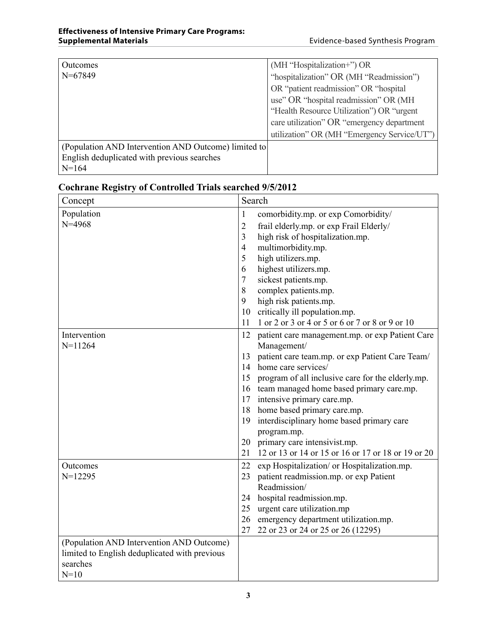| Outcomes                                             | (MH "Hospitalization+") OR                  |
|------------------------------------------------------|---------------------------------------------|
| $N=67849$                                            | "hospitalization" OR (MH "Readmission")     |
|                                                      | OR "patient readmission" OR "hospital"      |
|                                                      | use" OR "hospital readmission" OR (MH)      |
|                                                      | "Health Resource Utilization") OR "urgent"  |
|                                                      | care utilization" OR "emergency department  |
|                                                      | utilization" OR (MH "Emergency Service/UT") |
| (Population AND Intervention AND Outcome) limited to |                                             |
| English deduplicated with previous searches          |                                             |
| $N=164$                                              |                                             |

| Concept                                       |                | Search                                             |
|-----------------------------------------------|----------------|----------------------------------------------------|
| Population                                    | $\mathbf{1}$   | comorbidity.mp. or exp Comorbidity/                |
| $N = 4968$                                    | $\overline{2}$ | frail elderly.mp. or exp Frail Elderly/            |
|                                               | 3              | high risk of hospitalization.mp.                   |
|                                               | $\overline{4}$ | multimorbidity.mp.                                 |
|                                               | 5              | high utilizers.mp.                                 |
|                                               | 6              | highest utilizers.mp.                              |
|                                               | $\tau$         | sickest patients.mp.                               |
|                                               | 8              | complex patients.mp.                               |
|                                               | 9              | high risk patients.mp.                             |
|                                               | 10             | critically ill population.mp.                      |
|                                               | 11             | 1 or 2 or 3 or 4 or 5 or 6 or 7 or 8 or 9 or 10    |
| Intervention                                  | 12             | patient care management.mp. or exp Patient Care    |
| $N=11264$                                     |                | Management/                                        |
|                                               | 13             | patient care team.mp. or exp Patient Care Team/    |
|                                               | 14             | home care services/                                |
|                                               | 15             | program of all inclusive care for the elderly.mp.  |
|                                               |                | 16 team managed home based primary care.mp.        |
|                                               |                | 17 intensive primary care.mp.                      |
|                                               |                | 18 home based primary care.mp.                     |
|                                               |                | 19 interdisciplinary home based primary care       |
|                                               |                | program.mp.                                        |
|                                               | 20             | primary care intensivist.mp.                       |
|                                               | 21             | 12 or 13 or 14 or 15 or 16 or 17 or 18 or 19 or 20 |
| Outcomes                                      | 22             | exp Hospitalization/ or Hospitalization.mp.        |
| $N=12295$                                     | 23             | patient readmission.mp. or exp Patient             |
|                                               |                | Readmission/                                       |
|                                               | 24             | hospital readmission.mp.                           |
|                                               | 25             | urgent care utilization.mp                         |
|                                               | 26             | emergency department utilization.mp.               |
|                                               | 27             | 22 or 23 or 24 or 25 or 26 (12295)                 |
| (Population AND Intervention AND Outcome)     |                |                                                    |
| limited to English deduplicated with previous |                |                                                    |
| searches                                      |                |                                                    |
| $N=10$                                        |                |                                                    |

### **Cochrane Registry of Controlled Trials searched 9/5/2012**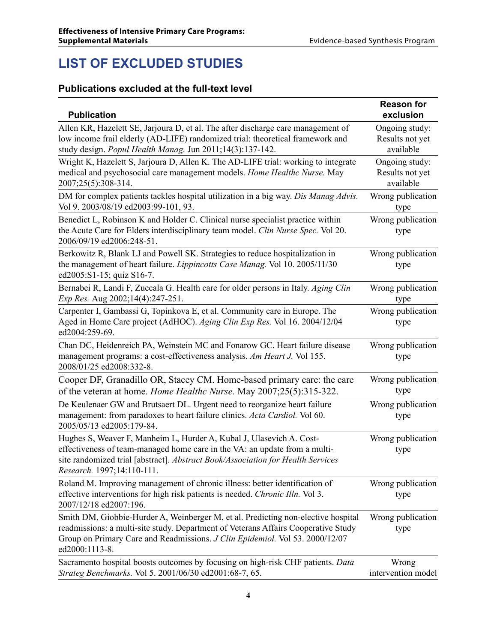# <span id="page-5-0"></span>**LIST OF EXCLUDED STUDIES**

#### **Publications excluded at the full-text level**

| <b>Publication</b>                                                                                                                                                                                                                                                        | <b>Reason for</b><br>exclusion                 |
|---------------------------------------------------------------------------------------------------------------------------------------------------------------------------------------------------------------------------------------------------------------------------|------------------------------------------------|
| Allen KR, Hazelett SE, Jarjoura D, et al. The after discharge care management of<br>low income frail elderly (AD-LIFE) randomized trial: theoretical framework and<br>study design. Popul Health Manag. Jun 2011;14(3):137-142.                                           | Ongoing study:<br>Results not yet<br>available |
| Wright K, Hazelett S, Jarjoura D, Allen K. The AD-LIFE trial: working to integrate<br>medical and psychosocial care management models. Home Healthc Nurse. May<br>2007;25(5):308-314.                                                                                     | Ongoing study:<br>Results not yet<br>available |
| DM for complex patients tackles hospital utilization in a big way. Dis Manag Advis.<br>Vol 9. 2003/08/19 ed2003:99-101, 93.                                                                                                                                               | Wrong publication<br>type                      |
| Benedict L, Robinson K and Holder C. Clinical nurse specialist practice within<br>the Acute Care for Elders interdisciplinary team model. Clin Nurse Spec. Vol 20.<br>2006/09/19 ed2006:248-51.                                                                           | Wrong publication<br>type                      |
| Berkowitz R, Blank LJ and Powell SK. Strategies to reduce hospitalization in<br>the management of heart failure. <i>Lippincotts Case Manag</i> . Vol 10. 2005/11/30<br>ed2005:S1-15; quiz S16-7.                                                                          | Wrong publication<br>type                      |
| Bernabei R, Landi F, Zuccala G. Health care for older persons in Italy. Aging Clin<br>Exp Res. Aug 2002;14(4):247-251.                                                                                                                                                    | Wrong publication<br>type                      |
| Carpenter I, Gambassi G, Topinkova E, et al. Community care in Europe. The<br>Aged in Home Care project (AdHOC). Aging Clin Exp Res. Vol 16. 2004/12/04<br>ed2004:259-69.                                                                                                 | Wrong publication<br>type                      |
| Chan DC, Heidenreich PA, Weinstein MC and Fonarow GC. Heart failure disease<br>management programs: a cost-effectiveness analysis. Am Heart J. Vol 155.<br>2008/01/25 ed2008:332-8.                                                                                       | Wrong publication<br>type                      |
| Cooper DF, Granadillo OR, Stacey CM. Home-based primary care: the care<br>of the veteran at home. Home Healthc Nurse. May 2007;25(5):315-322.                                                                                                                             | Wrong publication<br>type                      |
| De Keulenaer GW and Brutsaert DL. Urgent need to reorganize heart failure<br>management: from paradoxes to heart failure clinics. Acta Cardiol. Vol 60.<br>2005/05/13 ed2005:179-84.                                                                                      | Wrong publication<br>type                      |
| Hughes S, Weaver F, Manheim L, Hurder A, Kubal J, Ulasevich A. Cost-<br>effectiveness of team-managed home care in the VA: an update from a multi-<br>site randomized trial [abstract]. Abstract Book/Association for Health Services<br>Research. 1997;14:110-111.       | Wrong publication<br>type                      |
| Roland M. Improving management of chronic illness: better identification of<br>effective interventions for high risk patients is needed. Chronic Illn. Vol 3.<br>2007/12/18 ed2007:196.                                                                                   | Wrong publication<br>type                      |
| Smith DM, Giobbie-Hurder A, Weinberger M, et al. Predicting non-elective hospital<br>readmissions: a multi-site study. Department of Veterans Affairs Cooperative Study<br>Group on Primary Care and Readmissions. J Clin Epidemiol. Vol 53. 2000/12/07<br>ed2000:1113-8. | Wrong publication<br>type                      |
| Sacramento hospital boosts outcomes by focusing on high-risk CHF patients. Data<br>Strateg Benchmarks. Vol 5. 2001/06/30 ed2001:68-7, 65.                                                                                                                                 | Wrong<br>intervention model                    |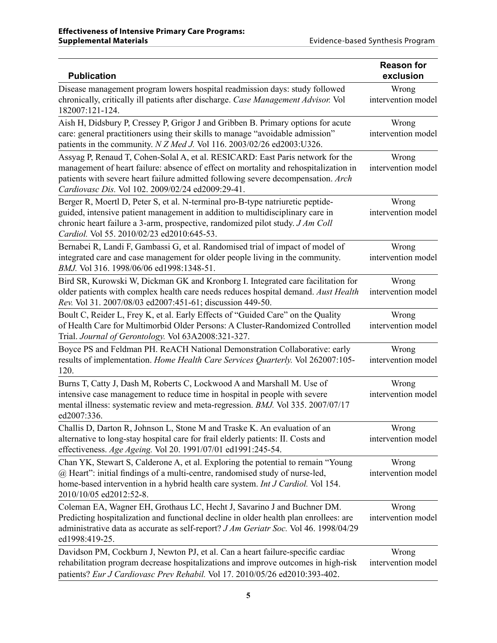| <b>Publication</b>                                                                                                                                                                                                                                                                                               | <b>Reason for</b><br>exclusion |
|------------------------------------------------------------------------------------------------------------------------------------------------------------------------------------------------------------------------------------------------------------------------------------------------------------------|--------------------------------|
| Disease management program lowers hospital readmission days: study followed                                                                                                                                                                                                                                      | Wrong                          |
| chronically, critically ill patients after discharge. Case Management Advisor. Vol<br>182007:121-124.                                                                                                                                                                                                            | intervention model             |
| Aish H, Didsbury P, Cressey P, Grigor J and Gribben B. Primary options for acute                                                                                                                                                                                                                                 | Wrong                          |
| care: general practitioners using their skills to manage "avoidable admission"<br>patients in the community. N Z Med J. Vol 116. 2003/02/26 ed2003:U326.                                                                                                                                                         | intervention model             |
| Assyag P, Renaud T, Cohen-Solal A, et al. RESICARD: East Paris network for the<br>management of heart failure: absence of effect on mortality and rehospitalization in<br>patients with severe heart failure admitted following severe decompensation. Arch<br>Cardiovasc Dis. Vol 102. 2009/02/24 ed2009:29-41. | Wrong<br>intervention model    |
| Berger R, Moertl D, Peter S, et al. N-terminal pro-B-type natriuretic peptide-                                                                                                                                                                                                                                   | Wrong                          |
| guided, intensive patient management in addition to multidisciplinary care in<br>chronic heart failure a 3-arm, prospective, randomized pilot study. J Am Coll<br>Cardiol. Vol 55. 2010/02/23 ed2010:645-53.                                                                                                     | intervention model             |
| Bernabei R, Landi F, Gambassi G, et al. Randomised trial of impact of model of                                                                                                                                                                                                                                   | Wrong                          |
| integrated care and case management for older people living in the community.<br>BMJ. Vol 316. 1998/06/06 ed1998:1348-51.                                                                                                                                                                                        | intervention model             |
| Bird SR, Kurowski W, Dickman GK and Kronborg I. Integrated care facilitation for                                                                                                                                                                                                                                 | Wrong                          |
| older patients with complex health care needs reduces hospital demand. Aust Health<br>Rev. Vol 31. 2007/08/03 ed2007:451-61; discussion 449-50.                                                                                                                                                                  | intervention model             |
| Boult C, Reider L, Frey K, et al. Early Effects of "Guided Care" on the Quality                                                                                                                                                                                                                                  | Wrong                          |
| of Health Care for Multimorbid Older Persons: A Cluster-Randomized Controlled<br>Trial. Journal of Gerontology. Vol 63A2008:321-327.                                                                                                                                                                             | intervention model             |
| Boyce PS and Feldman PH. ReACH National Demonstration Collaborative: early                                                                                                                                                                                                                                       | Wrong                          |
| results of implementation. Home Health Care Services Quarterly. Vol 262007:105-<br>120.                                                                                                                                                                                                                          | intervention model             |
| Burns T, Catty J, Dash M, Roberts C, Lockwood A and Marshall M. Use of                                                                                                                                                                                                                                           | Wrong                          |
| intensive case management to reduce time in hospital in people with severe<br>mental illness: systematic review and meta-regression. BMJ. Vol 335. 2007/07/17<br>ed2007:336.                                                                                                                                     | intervention model             |
| Challis D, Darton R, Johnson L, Stone M and Traske K. An evaluation of an                                                                                                                                                                                                                                        | Wrong                          |
| alternative to long-stay hospital care for frail elderly patients: II. Costs and<br>effectiveness. Age Ageing. Vol 20. 1991/07/01 ed1991:245-54.                                                                                                                                                                 | intervention model             |
| Chan YK, Stewart S, Calderone A, et al. Exploring the potential to remain "Young<br>@ Heart": initial findings of a multi-centre, randomised study of nurse-led,<br>home-based intervention in a hybrid health care system. Int J Cardiol. Vol 154.<br>2010/10/05 ed2012:52-8.                                   | Wrong<br>intervention model    |
| Coleman EA, Wagner EH, Grothaus LC, Hecht J, Savarino J and Buchner DM.<br>Predicting hospitalization and functional decline in older health plan enrollees: are<br>administrative data as accurate as self-report? <i>J Am Geriatr Soc.</i> Vol 46. 1998/04/29<br>ed1998:419-25.                                | Wrong<br>intervention model    |
| Davidson PM, Cockburn J, Newton PJ, et al. Can a heart failure-specific cardiac                                                                                                                                                                                                                                  | Wrong                          |
| rehabilitation program decrease hospitalizations and improve outcomes in high-risk<br>patients? Eur J Cardiovasc Prev Rehabil. Vol 17. 2010/05/26 ed2010:393-402.                                                                                                                                                | intervention model             |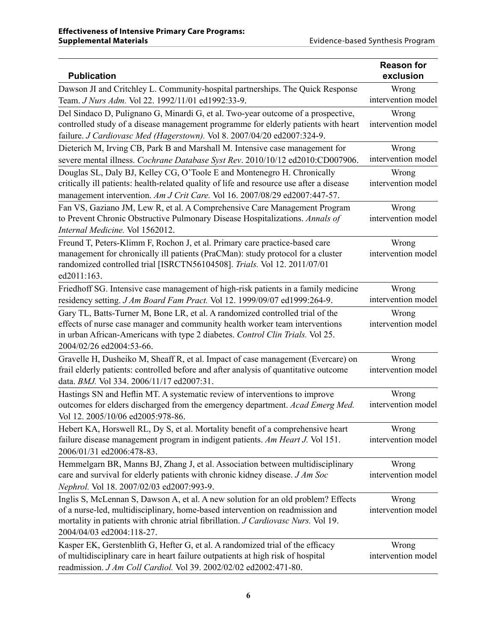| <b>Publication</b>                                                                                                                                                                                                                                                                    | <b>Reason for</b><br>exclusion |
|---------------------------------------------------------------------------------------------------------------------------------------------------------------------------------------------------------------------------------------------------------------------------------------|--------------------------------|
| Dawson JI and Critchley L. Community-hospital partnerships. The Quick Response                                                                                                                                                                                                        | Wrong                          |
| Team. J Nurs Adm. Vol 22. 1992/11/01 ed1992:33-9.                                                                                                                                                                                                                                     | intervention model             |
| Del Sindaco D, Pulignano G, Minardi G, et al. Two-year outcome of a prospective,<br>controlled study of a disease management programme for elderly patients with heart<br>failure. J Cardiovasc Med (Hagerstown). Vol 8. 2007/04/20 ed2007:324-9.                                     | Wrong<br>intervention model    |
| Dieterich M, Irving CB, Park B and Marshall M. Intensive case management for<br>severe mental illness. Cochrane Database Syst Rev. 2010/10/12 ed2010:CD007906.                                                                                                                        | Wrong<br>intervention model    |
| Douglas SL, Daly BJ, Kelley CG, O'Toole E and Montenegro H. Chronically<br>critically ill patients: health-related quality of life and resource use after a disease<br>management intervention. Am J Crit Care. Vol 16. 2007/08/29 ed2007:447-57.                                     | Wrong<br>intervention model    |
| Fan VS, Gaziano JM, Lew R, et al. A Comprehensive Care Management Program<br>to Prevent Chronic Obstructive Pulmonary Disease Hospitalizations. Annals of<br>Internal Medicine. Vol 1562012.                                                                                          | Wrong<br>intervention model    |
| Freund T, Peters-Klimm F, Rochon J, et al. Primary care practice-based care<br>management for chronically ill patients (PraCMan): study protocol for a cluster<br>randomized controlled trial [ISRCTN56104508]. Trials. Vol 12. 2011/07/01<br>ed2011:163.                             | Wrong<br>intervention model    |
| Friedhoff SG. Intensive case management of high-risk patients in a family medicine                                                                                                                                                                                                    | Wrong                          |
| residency setting. J Am Board Fam Pract. Vol 12. 1999/09/07 ed1999:264-9.                                                                                                                                                                                                             | intervention model             |
| Gary TL, Batts-Turner M, Bone LR, et al. A randomized controlled trial of the<br>effects of nurse case manager and community health worker team interventions<br>in urban African-Americans with type 2 diabetes. Control Clin Trials. Vol 25.<br>2004/02/26 ed2004:53-66.            | Wrong<br>intervention model    |
| Gravelle H, Dusheiko M, Sheaff R, et al. Impact of case management (Evercare) on<br>frail elderly patients: controlled before and after analysis of quantitative outcome<br>data. BMJ. Vol 334. 2006/11/17 ed2007:31.                                                                 | Wrong<br>intervention model    |
| Hastings SN and Heflin MT. A systematic review of interventions to improve<br>outcomes for elders discharged from the emergency department. Acad Emerg Med.<br>Vol 12. 2005/10/06 ed2005:978-86.                                                                                      | Wrong<br>intervention model    |
| Hebert KA, Horswell RL, Dy S, et al. Mortality benefit of a comprehensive heart<br>failure disease management program in indigent patients. Am Heart J. Vol 151.<br>2006/01/31 ed2006:478-83.                                                                                         | Wrong<br>intervention model    |
| Hemmelgarn BR, Manns BJ, Zhang J, et al. Association between multidisciplinary<br>care and survival for elderly patients with chronic kidney disease. J Am Soc<br>Nephrol. Vol 18. 2007/02/03 ed2007:993-9.                                                                           | Wrong<br>intervention model    |
| Inglis S, McLennan S, Dawson A, et al. A new solution for an old problem? Effects<br>of a nurse-led, multidisciplinary, home-based intervention on readmission and<br>mortality in patients with chronic atrial fibrillation. J Cardiovasc Nurs. Vol 19.<br>2004/04/03 ed2004:118-27. | Wrong<br>intervention model    |
| Kasper EK, Gerstenblith G, Hefter G, et al. A randomized trial of the efficacy<br>of multidisciplinary care in heart failure outpatients at high risk of hospital<br>readmission. J Am Coll Cardiol. Vol 39. 2002/02/02 ed2002:471-80.                                                | Wrong<br>intervention model    |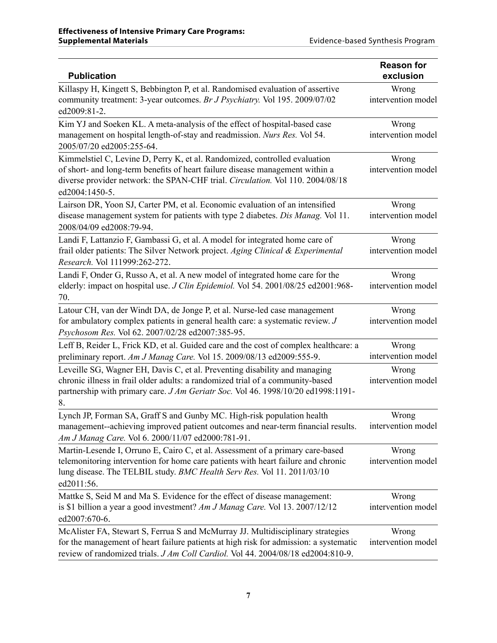| <b>Publication</b>                                                                                                                                                                                                                                              | <b>Reason for</b><br>exclusion |
|-----------------------------------------------------------------------------------------------------------------------------------------------------------------------------------------------------------------------------------------------------------------|--------------------------------|
| Killaspy H, Kingett S, Bebbington P, et al. Randomised evaluation of assertive<br>community treatment: 3-year outcomes. Br J Psychiatry. Vol 195. 2009/07/02<br>ed2009:81-2.                                                                                    | Wrong<br>intervention model    |
| Kim YJ and Soeken KL. A meta-analysis of the effect of hospital-based case<br>management on hospital length-of-stay and readmission. Nurs Res. Vol 54.<br>2005/07/20 ed2005:255-64.                                                                             | Wrong<br>intervention model    |
| Kimmelstiel C, Levine D, Perry K, et al. Randomized, controlled evaluation<br>of short- and long-term benefits of heart failure disease management within a<br>diverse provider network: the SPAN-CHF trial. Circulation. Vol 110. 2004/08/18<br>ed2004:1450-5. | Wrong<br>intervention model    |
| Lairson DR, Yoon SJ, Carter PM, et al. Economic evaluation of an intensified<br>disease management system for patients with type 2 diabetes. Dis Manag. Vol 11.<br>2008/04/09 ed2008:79-94.                                                                     | Wrong<br>intervention model    |
| Landi F, Lattanzio F, Gambassi G, et al. A model for integrated home care of<br>frail older patients: The Silver Network project. Aging Clinical & Experimental<br>Research. Vol 111999:262-272.                                                                | Wrong<br>intervention model    |
| Landi F, Onder G, Russo A, et al. A new model of integrated home care for the<br>elderly: impact on hospital use. J Clin Epidemiol. Vol 54. 2001/08/25 ed2001:968-<br>70.                                                                                       | Wrong<br>intervention model    |
| Latour CH, van der Windt DA, de Jonge P, et al. Nurse-led case management<br>for ambulatory complex patients in general health care: a systematic review. J<br>Psychosom Res. Vol 62. 2007/02/28 ed2007:385-95.                                                 | Wrong<br>intervention model    |
| Leff B, Reider L, Frick KD, et al. Guided care and the cost of complex healthcare: a<br>preliminary report. Am J Manag Care. Vol 15. 2009/08/13 ed2009:555-9.                                                                                                   | Wrong<br>intervention model    |
| Leveille SG, Wagner EH, Davis C, et al. Preventing disability and managing<br>chronic illness in frail older adults: a randomized trial of a community-based<br>partnership with primary care. J Am Geriatr Soc. Vol 46. 1998/10/20 ed1998:1191-<br>8.          | Wrong<br>intervention model    |
| Lynch JP, Forman SA, Graff S and Gunby MC. High-risk population health<br>management--achieving improved patient outcomes and near-term financial results.<br>Am J Manag Care. Vol 6. 2000/11/07 ed2000:781-91.                                                 | Wrong<br>intervention model    |
| Martin-Lesende I, Orruno E, Cairo C, et al. Assessment of a primary care-based<br>telemonitoring intervention for home care patients with heart failure and chronic<br>lung disease. The TELBIL study. BMC Health Serv Res. Vol 11. 2011/03/10<br>ed2011:56.    | Wrong<br>intervention model    |
| Mattke S, Seid M and Ma S. Evidence for the effect of disease management:<br>is \$1 billion a year a good investment? Am J Manag Care. Vol 13. 2007/12/12<br>ed2007:670-6.                                                                                      | Wrong<br>intervention model    |
| McAlister FA, Stewart S, Ferrua S and McMurray JJ. Multidisciplinary strategies<br>for the management of heart failure patients at high risk for admission: a systematic<br>review of randomized trials. J Am Coll Cardiol. Vol 44. 2004/08/18 ed2004:810-9.    | Wrong<br>intervention model    |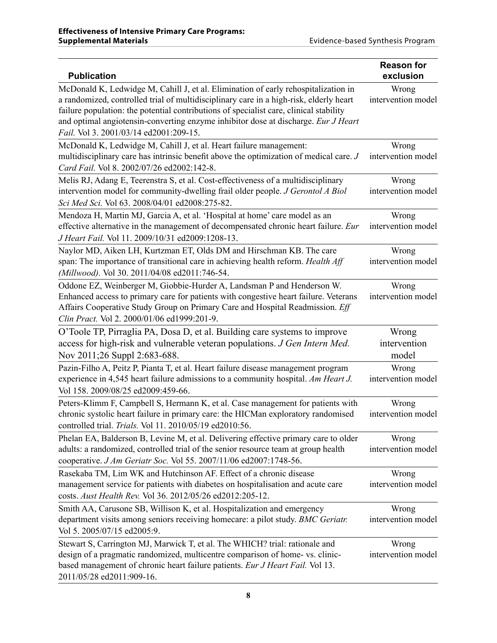| <b>Publication</b>                                                                                                                                                                                                                                                                                                                                                                                     | <b>Reason for</b><br>exclusion |
|--------------------------------------------------------------------------------------------------------------------------------------------------------------------------------------------------------------------------------------------------------------------------------------------------------------------------------------------------------------------------------------------------------|--------------------------------|
| McDonald K, Ledwidge M, Cahill J, et al. Elimination of early rehospitalization in<br>a randomized, controlled trial of multidisciplinary care in a high-risk, elderly heart<br>failure population: the potential contributions of specialist care, clinical stability<br>and optimal angiotensin-converting enzyme inhibitor dose at discharge. Eur J Heart<br>Fail. Vol 3. 2001/03/14 ed2001:209-15. | Wrong<br>intervention model    |
| McDonald K, Ledwidge M, Cahill J, et al. Heart failure management:<br>multidisciplinary care has intrinsic benefit above the optimization of medical care. J<br>Card Fail. Vol 8, 2002/07/26 ed2002:142-8.                                                                                                                                                                                             | Wrong<br>intervention model    |
| Melis RJ, Adang E, Teerenstra S, et al. Cost-effectiveness of a multidisciplinary<br>intervention model for community-dwelling frail older people. J Gerontol A Biol<br>Sci Med Sci. Vol 63. 2008/04/01 ed2008:275-82.                                                                                                                                                                                 | Wrong<br>intervention model    |
| Mendoza H, Martin MJ, Garcia A, et al. 'Hospital at home' care model as an<br>effective alternative in the management of decompensated chronic heart failure. Eur<br>J Heart Fail. Vol 11. 2009/10/31 ed2009:1208-13.                                                                                                                                                                                  | Wrong<br>intervention model    |
| Naylor MD, Aiken LH, Kurtzman ET, Olds DM and Hirschman KB. The care<br>span: The importance of transitional care in achieving health reform. Health Aff<br>(Millwood). Vol 30. 2011/04/08 ed2011:746-54.                                                                                                                                                                                              | Wrong<br>intervention model    |
| Oddone EZ, Weinberger M, Giobbie-Hurder A, Landsman P and Henderson W.<br>Enhanced access to primary care for patients with congestive heart failure. Veterans<br>Affairs Cooperative Study Group on Primary Care and Hospital Readmission. Eff<br>Clin Pract. Vol 2. 2000/01/06 ed1999:201-9.                                                                                                         | Wrong<br>intervention model    |
| O'Toole TP, Pirraglia PA, Dosa D, et al. Building care systems to improve<br>access for high-risk and vulnerable veteran populations. J Gen Intern Med.<br>Nov 2011;26 Suppl 2:683-688.                                                                                                                                                                                                                | Wrong<br>intervention<br>model |
| Pazin-Filho A, Peitz P, Pianta T, et al. Heart failure disease management program<br>experience in 4,545 heart failure admissions to a community hospital. Am Heart J.<br>Vol 158. 2009/08/25 ed2009:459-66.                                                                                                                                                                                           | Wrong<br>intervention model    |
| Peters-Klimm F, Campbell S, Hermann K, et al. Case management for patients with<br>chronic systolic heart failure in primary care: the HICMan exploratory randomised<br>controlled trial. Trials. Vol 11. 2010/05/19 ed2010:56.                                                                                                                                                                        | Wrong<br>intervention model    |
| Phelan EA, Balderson B, Levine M, et al. Delivering effective primary care to older<br>adults: a randomized, controlled trial of the senior resource team at group health<br>cooperative. J Am Geriatr Soc. Vol 55. 2007/11/06 ed2007:1748-56.                                                                                                                                                         | Wrong<br>intervention model    |
| Rasekaba TM, Lim WK and Hutchinson AF. Effect of a chronic disease<br>management service for patients with diabetes on hospitalisation and acute care<br>costs. Aust Health Rev. Vol 36. 2012/05/26 ed2012:205-12.                                                                                                                                                                                     | Wrong<br>intervention model    |
| Smith AA, Carusone SB, Willison K, et al. Hospitalization and emergency<br>department visits among seniors receiving homecare: a pilot study. BMC Geriatr.<br>Vol 5. 2005/07/15 ed2005:9.                                                                                                                                                                                                              | Wrong<br>intervention model    |
| Stewart S, Carrington MJ, Marwick T, et al. The WHICH? trial: rationale and<br>design of a pragmatic randomized, multicentre comparison of home- vs. clinic-<br>based management of chronic heart failure patients. Eur J Heart Fail. Vol 13.<br>2011/05/28 ed2011:909-16.                                                                                                                             | Wrong<br>intervention model    |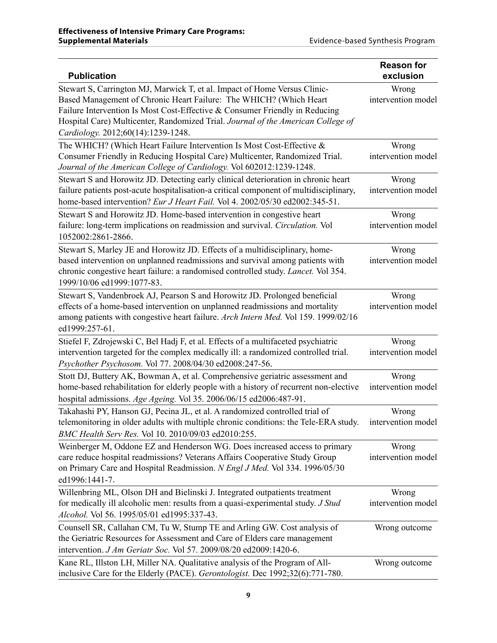| <b>Publication</b>                                                                                                                                                                                                                                                                                                                                       | <b>Reason for</b><br>exclusion |
|----------------------------------------------------------------------------------------------------------------------------------------------------------------------------------------------------------------------------------------------------------------------------------------------------------------------------------------------------------|--------------------------------|
| Stewart S, Carrington MJ, Marwick T, et al. Impact of Home Versus Clinic-<br>Based Management of Chronic Heart Failure: The WHICH? (Which Heart<br>Failure Intervention Is Most Cost-Effective & Consumer Friendly in Reducing<br>Hospital Care) Multicenter, Randomized Trial. Journal of the American College of<br>Cardiology. 2012;60(14):1239-1248. | Wrong<br>intervention model    |
| The WHICH? (Which Heart Failure Intervention Is Most Cost-Effective &<br>Consumer Friendly in Reducing Hospital Care) Multicenter, Randomized Trial.<br>Journal of the American College of Cardiology. Vol 602012:1239-1248.                                                                                                                             | Wrong<br>intervention model    |
| Stewart S and Horowitz JD. Detecting early clinical deterioration in chronic heart<br>failure patients post-acute hospitalisation-a critical component of multidisciplinary,<br>home-based intervention? Eur J Heart Fail. Vol 4. 2002/05/30 ed2002:345-51.                                                                                              | Wrong<br>intervention model    |
| Stewart S and Horowitz JD. Home-based intervention in congestive heart<br>failure: long-term implications on readmission and survival. Circulation. Vol<br>1052002:2861-2866.                                                                                                                                                                            | Wrong<br>intervention model    |
| Stewart S, Marley JE and Horowitz JD. Effects of a multidisciplinary, home-<br>based intervention on unplanned readmissions and survival among patients with<br>chronic congestive heart failure: a randomised controlled study. Lancet. Vol 354.<br>1999/10/06 ed1999:1077-83.                                                                          | Wrong<br>intervention model    |
| Stewart S, Vandenbroek AJ, Pearson S and Horowitz JD. Prolonged beneficial<br>effects of a home-based intervention on unplanned readmissions and mortality<br>among patients with congestive heart failure. Arch Intern Med. Vol 159. 1999/02/16<br>ed1999:257-61.                                                                                       | Wrong<br>intervention model    |
| Stiefel F, Zdrojewski C, Bel Hadj F, et al. Effects of a multifaceted psychiatric<br>intervention targeted for the complex medically ill: a randomized controlled trial.<br>Psychother Psychosom. Vol 77. 2008/04/30 ed2008:247-56.                                                                                                                      | Wrong<br>intervention model    |
| Stott DJ, Buttery AK, Bowman A, et al. Comprehensive geriatric assessment and<br>home-based rehabilitation for elderly people with a history of recurrent non-elective<br>hospital admissions. Age Ageing. Vol 35. 2006/06/15 ed2006:487-91.                                                                                                             | Wrong<br>intervention model    |
| Takahashi PY, Hanson GJ, Pecina JL, et al. A randomized controlled trial of<br>telemonitoring in older adults with multiple chronic conditions: the Tele-ERA study. intervention model<br>BMC Health Serv Res. Vol 10. 2010/09/03 ed2010:255.                                                                                                            | Wrong                          |
| Weinberger M, Oddone EZ and Henderson WG. Does increased access to primary<br>care reduce hospital readmissions? Veterans Affairs Cooperative Study Group<br>on Primary Care and Hospital Readmission. N Engl J Med. Vol 334. 1996/05/30<br>ed1996:1441-7.                                                                                               | Wrong<br>intervention model    |
| Willenbring ML, Olson DH and Bielinski J. Integrated outpatients treatment<br>for medically ill alcoholic men: results from a quasi-experimental study. J Stud<br>Alcohol. Vol 56. 1995/05/01 ed1995:337-43.                                                                                                                                             | Wrong<br>intervention model    |
| Counsell SR, Callahan CM, Tu W, Stump TE and Arling GW. Cost analysis of<br>the Geriatric Resources for Assessment and Care of Elders care management<br>intervention. J Am Geriatr Soc. Vol 57. 2009/08/20 ed2009:1420-6.                                                                                                                               | Wrong outcome                  |
| Kane RL, Illston LH, Miller NA. Qualitative analysis of the Program of All-<br>inclusive Care for the Elderly (PACE). Gerontologist. Dec 1992;32(6):771-780.                                                                                                                                                                                             | Wrong outcome                  |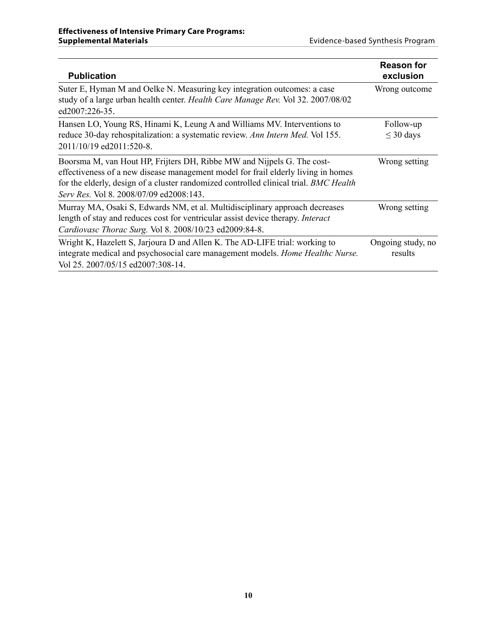| <b>Publication</b>                                                                                                                                                                                                                                                                              | <b>Reason for</b><br>exclusion |
|-------------------------------------------------------------------------------------------------------------------------------------------------------------------------------------------------------------------------------------------------------------------------------------------------|--------------------------------|
| Suter E, Hyman M and Oelke N. Measuring key integration outcomes: a case<br>study of a large urban health center. Health Care Manage Rev. Vol 32. 2007/08/02<br>ed2007:226-35.                                                                                                                  | Wrong outcome                  |
| Hansen LO, Young RS, Hinami K, Leung A and Williams MV. Interventions to<br>reduce 30-day rehospitalization: a systematic review. Ann Intern Med. Vol 155.<br>2011/10/19 ed2011:520-8.                                                                                                          | Follow-up<br>$\leq$ 30 days    |
| Boorsma M, van Hout HP, Frijters DH, Ribbe MW and Nijpels G. The cost-<br>effectiveness of a new disease management model for frail elderly living in homes<br>for the elderly, design of a cluster randomized controlled clinical trial. BMC Health<br>Serv Res. Vol 8. 2008/07/09 ed2008:143. | Wrong setting                  |
| Murray MA, Osaki S, Edwards NM, et al. Multidisciplinary approach decreases<br>length of stay and reduces cost for ventricular assist device therapy. Interact<br>Cardiovasc Thorac Surg. Vol 8. 2008/10/23 ed2009:84-8.                                                                        | Wrong setting                  |
| Wright K, Hazelett S, Jarjoura D and Allen K. The AD-LIFE trial: working to<br>integrate medical and psychosocial care management models. Home Healthc Nurse.<br>Vol 25. 2007/05/15 ed2007:308-14.                                                                                              | Ongoing study, no<br>results   |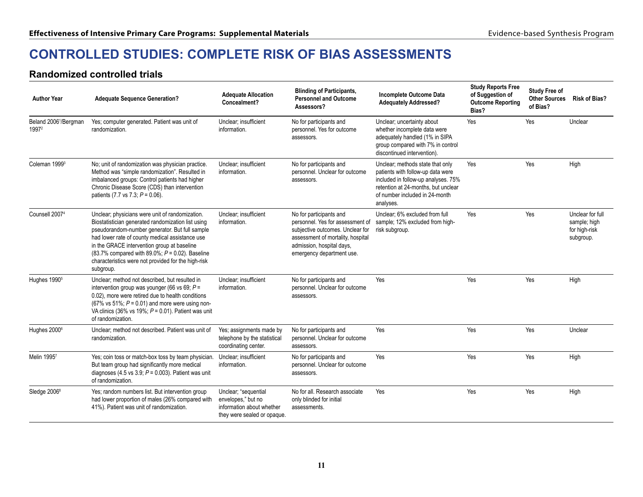## <span id="page-12-0"></span>**CONTROLLED STUDIES: COMPLETE RISK OF BIAS ASSESSMENTS**

#### **Randomized controlled trials**

| <b>Author Year</b>                         | <b>Adequate Sequence Generation?</b>                                                                                                                                                                                                                                                                                                                                                | <b>Adequate Allocation</b><br>Concealment?                                                             | <b>Blinding of Participants,</b><br><b>Personnel and Outcome</b><br>Assessors?                                                                                                                 | Incomplete Outcome Data<br><b>Adequately Addressed?</b>                                                                                                                                            | <b>Study Reports Free</b><br>of Suggestion of<br><b>Outcome Reporting</b><br>Bias? | <b>Study Free of</b><br><b>Other Sources</b><br>of Bias? | <b>Risk of Bias?</b>                                           |
|--------------------------------------------|-------------------------------------------------------------------------------------------------------------------------------------------------------------------------------------------------------------------------------------------------------------------------------------------------------------------------------------------------------------------------------------|--------------------------------------------------------------------------------------------------------|------------------------------------------------------------------------------------------------------------------------------------------------------------------------------------------------|----------------------------------------------------------------------------------------------------------------------------------------------------------------------------------------------------|------------------------------------------------------------------------------------|----------------------------------------------------------|----------------------------------------------------------------|
| Beland 2006 <sup>1</sup> /Bergman<br>19972 | Yes; computer generated. Patient was unit of<br>randomization.                                                                                                                                                                                                                                                                                                                      | Unclear: insufficient<br>information.                                                                  | No for participants and<br>personnel. Yes for outcome<br>assessors.                                                                                                                            | Unclear; uncertainty about<br>whether incomplete data were<br>adequately handled (1% in SIPA<br>group compared with 7% in control<br>discontinued intervention).                                   | Yes                                                                                | Yes                                                      | Unclear                                                        |
| Coleman 1999 <sup>3</sup>                  | No; unit of randomization was physician practice.<br>Method was "simple randomization". Resulted in<br>imbalanced groups: Control patients had higher<br>Chronic Disease Score (CDS) than intervention<br>patients (7.7 vs 7.3; $P = 0.06$ ).                                                                                                                                       | Unclear: insufficient<br>information.                                                                  | No for participants and<br>personnel. Unclear for outcome<br>assessors.                                                                                                                        | Unclear; methods state that only<br>patients with follow-up data were<br>included in follow-up analyses. 75%<br>retention at 24-months, but unclear<br>of number included in 24-month<br>analyses. | Yes                                                                                | Yes                                                      | High                                                           |
| Counsell 2007 <sup>4</sup>                 | Unclear; physicians were unit of randomization.<br>Biostatistician generated randomization list using<br>pseudorandom-number generator. But full sample<br>had lower rate of county medical assistance use<br>in the GRACE intervention group at baseline<br>(83.7% compared with 89.0%; $P = 0.02$ ). Baseline<br>characteristics were not provided for the high-risk<br>subgroup. | Unclear, insufficient<br>information.                                                                  | No for participants and<br>personnel. Yes for assessment of<br>subjective outcomes. Unclear for<br>assessment of mortality, hospital<br>admission, hospital days,<br>emergency department use. | Unclear; 6% excluded from full<br>sample; 12% excluded from high-<br>risk subgroup.                                                                                                                | Yes                                                                                | Yes                                                      | Unclear for full<br>sample; high<br>for high-risk<br>subgroup. |
| Hughes 1990 <sup>5</sup>                   | Unclear; method not described, but resulted in<br>intervention group was younger (66 vs 69; $P =$<br>0.02), more were retired due to health conditions<br>(67% vs 51%; $P = 0.01$ ) and more were using non-<br>VA clinics (36% vs 19%; $P = 0.01$ ). Patient was unit<br>of randomization.                                                                                         | Unclear; insufficient<br>information.                                                                  | No for participants and<br>personnel. Unclear for outcome<br>assessors.                                                                                                                        | Yes                                                                                                                                                                                                | Yes                                                                                | Yes                                                      | High                                                           |
| Hughes 2000 <sup>6</sup>                   | Unclear: method not described. Patient was unit of<br>randomization.                                                                                                                                                                                                                                                                                                                | Yes; assignments made by<br>telephone by the statistical<br>coordinating center.                       | No for participants and<br>personnel. Unclear for outcome<br>assessors.                                                                                                                        | Yes                                                                                                                                                                                                | Yes                                                                                | Yes                                                      | Unclear                                                        |
| Melin 19957                                | Yes; coin toss or match-box toss by team physician.<br>But team group had significantly more medical<br>diagnoses (4.5 vs 3.9; $P = 0.003$ ). Patient was unit<br>of randomization.                                                                                                                                                                                                 | Unclear: insufficient<br>information.                                                                  | No for participants and<br>personnel. Unclear for outcome<br>assessors.                                                                                                                        | Yes                                                                                                                                                                                                | Yes                                                                                | Yes                                                      | High                                                           |
| Sledge 2006 <sup>8</sup>                   | Yes: random numbers list. But intervention group<br>had lower proportion of males (26% compared with<br>41%). Patient was unit of randomization.                                                                                                                                                                                                                                    | Unclear, "sequential<br>envelopes," but no<br>information about whether<br>they were sealed or opaque. | No for all. Research associate<br>only blinded for initial<br>assessments.                                                                                                                     | Yes                                                                                                                                                                                                | Yes                                                                                | Yes                                                      | High                                                           |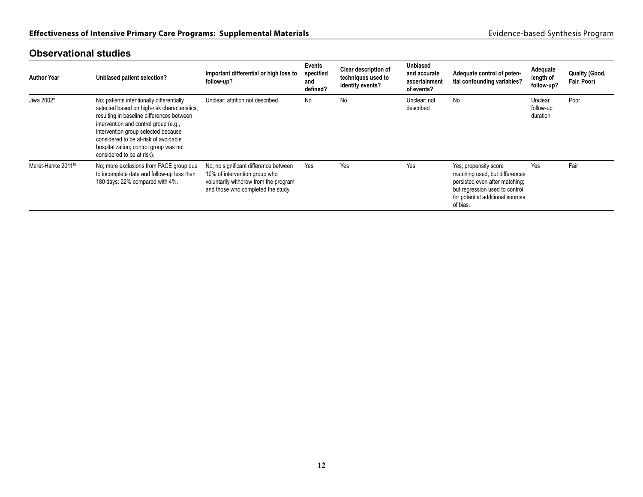| <b>Author Year</b>             | Unbiased patient selection?                                                                                                                                                                                                                                                                                                             | Important differential or high loss to<br>follow-up?                                                                                                  | <b>Events</b><br>specified<br>and<br>defined? | Clear description of<br>techniques used to<br>identify events? | <b>Unbiased</b><br>and accurate<br>ascertainment<br>of events? | Adequate control of poten-<br>tial confounding variables?                                                                                                                   | Adequate<br>length of<br>follow-up? | <b>Quality (Good,</b><br>Fair, Poor) |
|--------------------------------|-----------------------------------------------------------------------------------------------------------------------------------------------------------------------------------------------------------------------------------------------------------------------------------------------------------------------------------------|-------------------------------------------------------------------------------------------------------------------------------------------------------|-----------------------------------------------|----------------------------------------------------------------|----------------------------------------------------------------|-----------------------------------------------------------------------------------------------------------------------------------------------------------------------------|-------------------------------------|--------------------------------------|
| Jiwa 2002 <sup>9</sup>         | No; patients intentionally differentially<br>selected based on high-risk characteristics,<br>resulting in baseline differences between<br>intervention and control group (e.g.,<br>intervention group selected because<br>considered to be at-risk of avoidable<br>hospitalization; control group was not<br>considered to be at risk). | Unclear; attrition not described.                                                                                                                     | <b>No</b>                                     | No                                                             | Unclear; not<br>described                                      | No                                                                                                                                                                          | Unclear<br>follow-up<br>duration    | Poor                                 |
| Meret-Hanke 2011 <sup>10</sup> | No; more exclusions from PACE group due<br>to incomplete data and follow-up less than<br>180 days: 22% compared with 4%.                                                                                                                                                                                                                | No; no significant difference between<br>10% of intervention group who<br>voluntarily withdrew from the program<br>and those who completed the study. | Yes                                           | Yes                                                            | Yes                                                            | Yes; propensity score<br>matching used, but differences<br>persisted even after matching;<br>but regression used to control<br>for potential additional sources<br>of bias. | Yes                                 | Fair                                 |

#### **Observational studies**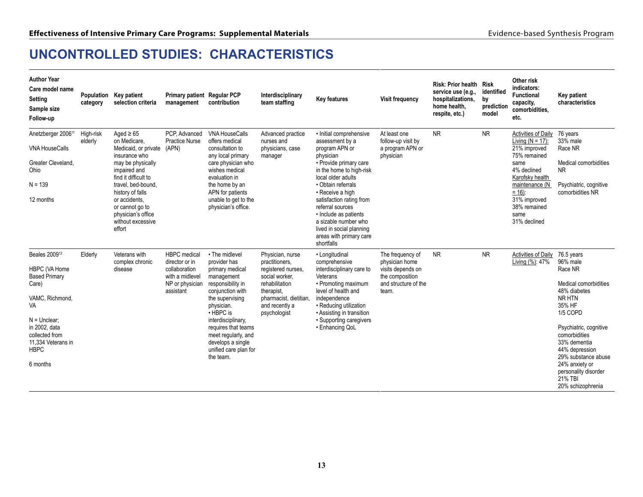# <span id="page-14-0"></span>**UNCONTROLLED STUDIES: CHARACTERISTICS**

| <b>Author Year</b><br>Care model name<br><b>Setting</b><br>Sample size<br>Follow-up                                                                                                                        | category             | Population Key patient<br>selection criteria                                                                                                                                                                                                                            | Primary patient Regular PCP<br>management                                                                 | contribution                                                                                                                                                                                                                                                                                | Interdisciplinary<br>team staffing                                                                                                                                     | <b>Key features</b>                                                                                                                                                                                                                                                                                                                                                   | <b>Visit frequency</b>                                                                                      | Risk: Prior health Risk<br>service use (e.g.,<br>hospitalizations,<br>home health.<br>respite, etc.) | identified<br>by<br>prediction<br>model | Other risk<br>indicators:<br><b>Functional</b><br>capacity,<br>comorbidities.<br>etc.                                                                                                                             | Key patient<br>characteristics                                                                                                                                                                                                                                                           |
|------------------------------------------------------------------------------------------------------------------------------------------------------------------------------------------------------------|----------------------|-------------------------------------------------------------------------------------------------------------------------------------------------------------------------------------------------------------------------------------------------------------------------|-----------------------------------------------------------------------------------------------------------|---------------------------------------------------------------------------------------------------------------------------------------------------------------------------------------------------------------------------------------------------------------------------------------------|------------------------------------------------------------------------------------------------------------------------------------------------------------------------|-----------------------------------------------------------------------------------------------------------------------------------------------------------------------------------------------------------------------------------------------------------------------------------------------------------------------------------------------------------------------|-------------------------------------------------------------------------------------------------------------|------------------------------------------------------------------------------------------------------|-----------------------------------------|-------------------------------------------------------------------------------------------------------------------------------------------------------------------------------------------------------------------|------------------------------------------------------------------------------------------------------------------------------------------------------------------------------------------------------------------------------------------------------------------------------------------|
| Anetzberger 2006 <sup>11</sup><br><b>VNA HouseCalls</b><br>Greater Cleveland,<br>Ohio<br>$N = 139$<br>12 months                                                                                            | High-risk<br>elderly | Aged $\geq 65$<br>on Medicare.<br>Medicaid, or private<br>insurance who<br>may be physically<br>impaired and<br>find it difficult to<br>travel, bed-bound.<br>history of falls<br>or accidents.<br>or cannot go to<br>physician's office<br>without excessive<br>effort | PCP. Advanced<br><b>Practice Nurse</b><br>(APN)                                                           | <b>VNA HouseCalls</b><br>offers medical<br>consultation to<br>any local primary<br>care physician who<br>wishes medical<br>evaluation in<br>the home by an<br>APN for patients<br>unable to get to the<br>physician's office.                                                               | Advanced practice<br>nurses and<br>physicians, case<br>manager                                                                                                         | • Initial comprehensive<br>assessment by a<br>program APN or<br>physician<br>• Provide primary care<br>in the home to high-risk<br>local older adults<br>• Obtain referrals<br>• Receive a high<br>satisfaction rating from<br>referral sources<br>• Include as patients<br>a sizable number who<br>lived in social planning<br>areas with primary care<br>shortfalls | At least one<br>follow-up visit by<br>a program APN or<br>physician                                         | <b>NR</b>                                                                                            | <b>NR</b>                               | <b>Activities of Daily</b><br>Living $(N = 17)$ :<br>21% improved<br>75% remained<br>same<br>4% declined<br>Karofsky health<br>maintenance (N<br>$= 16$ :<br>31% improved<br>38% remained<br>same<br>31% declined | 76 years<br>33% male<br>Race NR<br>Medical comorbidities<br><b>NR</b><br>Psychiatric, cognitive<br>comorbidities NR                                                                                                                                                                      |
| Beales 2009 <sup>12</sup><br>HBPC (VA Home<br><b>Based Primary</b><br>Care)<br>VAMC, Richmond,<br>VA<br>$N =$ Unclear:<br>in 2002, data<br>collected from<br>11,334 Veterans in<br><b>HBPC</b><br>6 months | Elderly              | Veterans with<br>complex chronic<br>disease                                                                                                                                                                                                                             | <b>HBPC</b> medical<br>director or in<br>collaboration<br>with a midlevel<br>NP or physician<br>assistant | • The midlevel<br>provider has<br>primary medical<br>management<br>responsibility in<br>conjunction with<br>the supervising<br>physician.<br>$\cdot$ HBPC is<br>interdisciplinary,<br>requires that teams<br>meet regularly, and<br>develops a single<br>unified care plan for<br>the team. | Physician, nurse<br>practitioners.<br>registered nurses.<br>social worker.<br>rehabilitation<br>therapist,<br>pharmacist, dietitian,<br>and recently a<br>psychologist | • Longitudinal<br>comprehensive<br>interdisciplinary care to<br>Veterans<br>• Promoting maximum<br>level of health and<br>independence<br>• Reducing utilization<br>• Assisting in transition<br>• Supporting caregivers<br>• Enhancing QoL                                                                                                                           | The frequency of<br>physician home<br>visits depends on<br>the composition<br>and structure of the<br>team. | <b>NR</b>                                                                                            | <b>NR</b>                               | Activities of Daily<br>Living (%): 47%                                                                                                                                                                            | 76.5 years<br>96% male<br>Race NR<br>Medical comorbidities<br>48% diabetes<br>NR HTN<br>35% HF<br>1/5 COPD<br>Psychiatric, cognitive<br>comorbidities<br>33% dementia<br>44% depression<br>29% substance abuse<br>24% anxiety or<br>personality disorder<br>21% TBI<br>20% schizophrenia |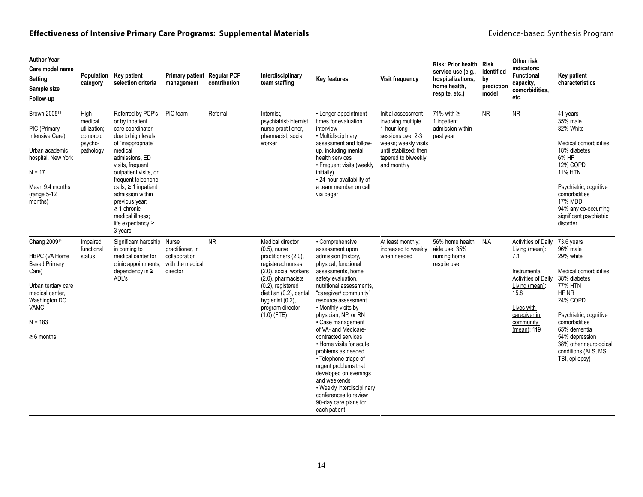#### **Effectiveness of Intensive Primary Care Programs: Supplemental Materials** entertaint and the state of the state of the state of the state of the state of the state of the state of the state of the state of the state of th

| <b>Author Year</b><br>Care model name<br>Setting<br>Sample size<br>Follow-up                                                                                                         | category                                                            | Population Key patient<br>selection criteria                                                                                                                                                                                                                                                                                                         | Primary patient Regular PCP<br>management                         | contribution | Interdisciplinary<br>team staffing                                                                                                                                                                                                          | Key features                                                                                                                                                                                                                                                                                                                                                                                                                                                                                                                                                           | <b>Visit frequency</b>                                                                                                                                               | Risk: Prior health Risk<br>service use (e.g.,<br>hospitalizations,<br>home health,<br>respite, etc.) | identified<br>by<br>prediction<br>model | Other risk<br>indicators:<br><b>Functional</b><br>capacity,<br>comorbidities,<br>etc.                                                                                   | Key patient<br>characteristics                                                                                                                                                                                                                                |
|--------------------------------------------------------------------------------------------------------------------------------------------------------------------------------------|---------------------------------------------------------------------|------------------------------------------------------------------------------------------------------------------------------------------------------------------------------------------------------------------------------------------------------------------------------------------------------------------------------------------------------|-------------------------------------------------------------------|--------------|---------------------------------------------------------------------------------------------------------------------------------------------------------------------------------------------------------------------------------------------|------------------------------------------------------------------------------------------------------------------------------------------------------------------------------------------------------------------------------------------------------------------------------------------------------------------------------------------------------------------------------------------------------------------------------------------------------------------------------------------------------------------------------------------------------------------------|----------------------------------------------------------------------------------------------------------------------------------------------------------------------|------------------------------------------------------------------------------------------------------|-----------------------------------------|-------------------------------------------------------------------------------------------------------------------------------------------------------------------------|---------------------------------------------------------------------------------------------------------------------------------------------------------------------------------------------------------------------------------------------------------------|
| Brown 2005 <sup>13</sup><br>PIC (Primary<br>Intensive Care)<br>Urban academic<br>hospital, New York<br>$N = 17$<br>Mean 9.4 months<br>(range 5-12)<br>months)                        | High<br>medical<br>utilization;<br>comorbid<br>psycho-<br>pathology | Referred by PCP's<br>or by inpatient<br>care coordinator<br>due to high levels<br>of "inappropriate"<br>medical<br>admissions, ED<br>visits, frequent<br>outpatient visits, or<br>frequent telephone<br>calls; $\geq 1$ inpatient<br>admission within<br>previous year;<br>$\geq$ 1 chronic<br>medical illness;<br>life expectancy $\geq$<br>3 years | PIC team                                                          | Referral     | Internist.<br>psychiatrist-internist.<br>nurse practitioner.<br>pharmacist, social<br>worker                                                                                                                                                | • Longer appointment<br>times for evaluation<br>interview<br>· Multidisciplinary<br>assessment and follow-<br>up, including mental<br>health services<br>• Frequent visits (weekly<br>initially)<br>• 24-hour availability of<br>a team member on call<br>via pager                                                                                                                                                                                                                                                                                                    | Initial assessment<br>involving multiple<br>1-hour-long<br>sessions over 2-3<br>weeks; weekly visits<br>until stabilized; then<br>tapered to biweekly<br>and monthly | 71% with $\ge$<br>1 inpatient<br>admission within<br>past year                                       | <b>NR</b>                               | <b>NR</b>                                                                                                                                                               | 41 years<br>35% male<br>82% White<br>Medical comorbidities<br>18% diabetes<br>6% HF<br>12% COPD<br><b>11% HTN</b><br>Psychiatric, cognitive<br>comorbidities<br>17% MDD<br>94% any co-occurring<br>significant psychiatric<br>disorder                        |
| Chang 2009 <sup>14</sup><br>HBPC (VA Home<br><b>Based Primary</b><br>Care)<br>Urban tertiary care<br>medical center.<br>Washington DC<br><b>VAMC</b><br>$N = 183$<br>$\geq 6$ months | Impaired<br>functional<br>status                                    | Significant hardship Nurse<br>in coming to<br>medical center for<br>clinic appointments,<br>dependency in $\geq$<br>ADL's                                                                                                                                                                                                                            | practitioner, in<br>collaboration<br>with the medical<br>director | <b>NR</b>    | Medical director<br>$(0.5)$ , nurse<br>practitioners (2.0).<br>registered nurses<br>(2.0), social workers<br>(2.0), pharmacists<br>$(0.2)$ , registered<br>dietitian (0.2), dental<br>hygienist (0.2),<br>program director<br>$(1.0)$ (FTE) | • Comprehensive<br>assessment upon<br>admission (history,<br>physical, functional<br>assessments, home<br>safety evaluation.<br>nutritional assessments,<br>"caregiver/community"<br>resource assessment<br>• Monthly visits by<br>physician, NP, or RN<br>• Case management<br>of VA- and Medicare-<br>contracted services<br>• Home visits for acute<br>problems as needed<br>• Telephone triage of<br>urgent problems that<br>developed on evenings<br>and weekends<br>• Weekly interdisciplinary<br>conferences to review<br>90-day care plans for<br>each patient | At least monthly:<br>increased to weekly<br>when needed                                                                                                              | 56% home health<br>aide use; 35%<br>nursing home<br>respite use                                      | N/A                                     | Activities of Daily<br>Living (mean):<br>7.1<br>Instrumental<br>Activities of Daily<br>Living (mean):<br>15.8<br>Lives with<br>caregiver in<br>community<br>(mean): 119 | 73.6 years<br>96% male<br>29% white<br>Medical comorbidities<br>38% diabetes<br>77% HTN<br>HF NR<br>24% COPD<br>Psychiatric, cognitive<br>comorbidities<br>65% dementia<br>54% depression<br>38% other neurological<br>conditions (ALS, MS,<br>TBI, epilepsy) |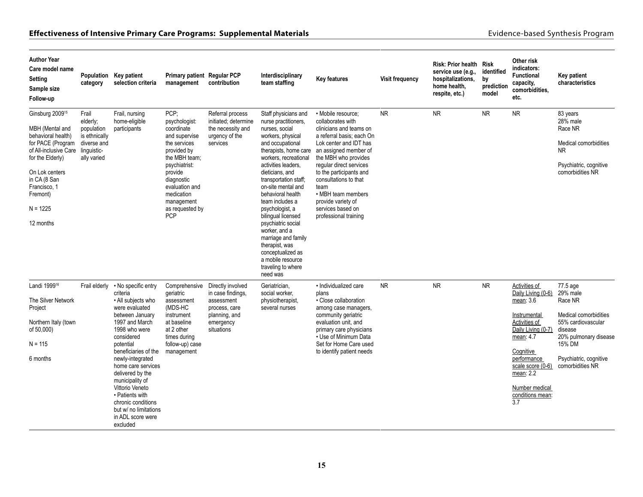| <b>Author Year</b><br>Care model name<br><b>Setting</b><br>Sample size<br>Follow-up                                                                                                                                             | category                                                                                      | Population Key patient<br>selection criteria                                                                                                                                                                                                                                                                                                                                            | <b>Primary patient Regular PCP</b><br>management                                                                                                                                                                              | contribution                                                                                                      | Interdisciplinary<br>team staffing                                                                                                                                                                                                                                                                                                                                                                                                                                                              | <b>Key features</b>                                                                                                                                                                                                                                                                                                                                         | Visit frequency | Risk: Prior health Risk<br>service use (e.g.,<br>hospitalizations,<br>home health.<br>respite, etc.) | identified<br>by<br>prediction<br>model | Other risk<br>indicators:<br><b>Functional</b><br>capacity,<br>comorbidities,<br>etc.                                                                                                                                           | Key patient<br>characteristics                                                                                                                                             |
|---------------------------------------------------------------------------------------------------------------------------------------------------------------------------------------------------------------------------------|-----------------------------------------------------------------------------------------------|-----------------------------------------------------------------------------------------------------------------------------------------------------------------------------------------------------------------------------------------------------------------------------------------------------------------------------------------------------------------------------------------|-------------------------------------------------------------------------------------------------------------------------------------------------------------------------------------------------------------------------------|-------------------------------------------------------------------------------------------------------------------|-------------------------------------------------------------------------------------------------------------------------------------------------------------------------------------------------------------------------------------------------------------------------------------------------------------------------------------------------------------------------------------------------------------------------------------------------------------------------------------------------|-------------------------------------------------------------------------------------------------------------------------------------------------------------------------------------------------------------------------------------------------------------------------------------------------------------------------------------------------------------|-----------------|------------------------------------------------------------------------------------------------------|-----------------------------------------|---------------------------------------------------------------------------------------------------------------------------------------------------------------------------------------------------------------------------------|----------------------------------------------------------------------------------------------------------------------------------------------------------------------------|
| Ginsburg 2009 <sup>15</sup><br>MBH (Mental and<br>behavioral health)<br>for PACE (Program<br>of All-inclusive Care<br>for the Elderly)<br>On Lok centers<br>in CA (8 San<br>Francisco, 1<br>Fremont)<br>$N = 1225$<br>12 months | Frail<br>elderly;<br>population<br>is ethnically<br>diverse and<br>linguistic-<br>ally varied | Frail, nursing<br>home-eligible<br>participants                                                                                                                                                                                                                                                                                                                                         | PCP:<br>psychologist:<br>coordinate<br>and supervise<br>the services<br>provided by<br>the MBH team;<br>psychiatrist:<br>provide<br>diagnostic<br>evaluation and<br>medication<br>management<br>as requested by<br><b>PCP</b> | Referral process<br>initiated; determine<br>the necessity and<br>urgency of the<br>services                       | Staff physicians and<br>nurse practitioners.<br>nurses, social<br>workers, physical<br>and occupational<br>therapists, home care<br>workers, recreational<br>activities leaders,<br>dieticians, and<br>transportation staff;<br>on-site mental and<br>behavioral health<br>team includes a<br>psychologist, a<br>bilingual licensed<br>psychiatric social<br>worker, and a<br>marriage and family<br>therapist, was<br>conceptualized as<br>a mobile resource<br>traveling to where<br>need was | • Mobile resource:<br>collaborates with<br>clinicians and teams on<br>a referral basis; each On<br>Lok center and IDT has<br>an assigned member of<br>the MBH who provides<br>regular direct services<br>to the participants and<br>consultations to that<br>team<br>• MBH team members<br>provide variety of<br>services based on<br>professional training | <b>NR</b>       | <b>NR</b>                                                                                            | <b>NR</b>                               | <b>NR</b>                                                                                                                                                                                                                       | 83 years<br>28% male<br>Race NR<br>Medical comorbidities<br>NR.<br>Psychiatric, cognitive<br>comorbidities NR                                                              |
| Landi 1999 <sup>16</sup><br>The Silver Network<br>Project<br>Northern Italy (town<br>of 50,000)<br>$N = 115$<br>6 months                                                                                                        | Frail elderly                                                                                 | • No specific entry<br>criteria<br>• All subjects who<br>were evaluated<br>between January<br>1997 and March<br>1998 who were<br>considered<br>potential<br>beneficiaries of the<br>newly-integrated<br>home care services<br>delivered by the<br>municipality of<br>Vittorio Veneto<br>• Patients with<br>chronic conditions<br>but w/ no limitations<br>in ADL score were<br>excluded | Comprehensive<br>geriatric<br>assessment<br>(MDS-HC<br>instrument<br>at baseline<br>at 2 other<br>times during<br>follow-up) case<br>management                                                                               | Directly involved<br>in case findings,<br>assessment<br>process, care<br>planning, and<br>emergency<br>situations | Geriatrician,<br>social worker,<br>physiotherapist,<br>several nurses                                                                                                                                                                                                                                                                                                                                                                                                                           | · Individualized care<br>plans<br>• Close collaboration<br>among case managers,<br>community geriatric<br>evaluation unit, and<br>primary care physicians<br>• Use of Minimum Data<br>Set for Home Care used<br>to identify patient needs                                                                                                                   | <b>NR</b>       | <b>NR</b>                                                                                            | <b>NR</b>                               | Activities of<br>Daily Living (0-6)<br>mean: 3.6<br>Instrumental<br>Activities of<br>Daily Living (0-7)<br>mean: 4.7<br>Cognitive<br>performance<br>scale score (0-6)<br>mean: 2.2<br>Number medical<br>conditions mean:<br>3.7 | 77.5 age<br>29% male<br>Race NR<br>Medical comorbidities<br>55% cardiovascular<br>disease<br>20% pulmonary disease<br>15% DM<br>Psychiatric, cognitive<br>comorbidities NR |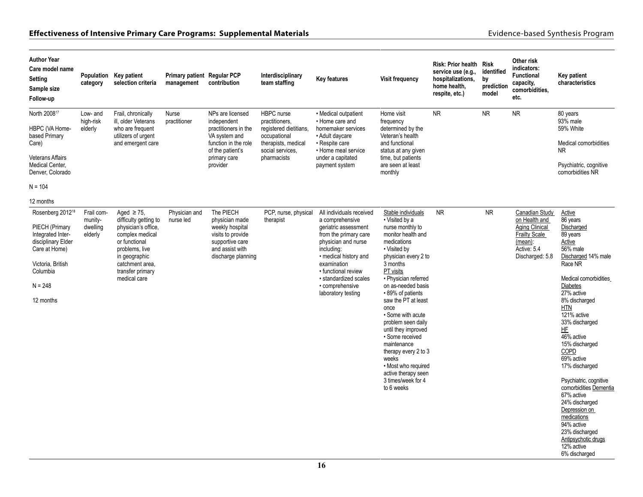| <b>Author Year</b><br>Care model name<br>Setting<br>Sample size<br>Follow-up                                                                                          | category                                     | Population Key patient<br>selection criteria                                                                                                                                                  | Primary patient Regular PCP<br>management | contribution                                                                                                                                     | Interdisciplinary<br>team staffing                                                                                               | <b>Key features</b>                                                                                                                                                                                                                                                | <b>Visit frequency</b>                                                                                                                                                                                                                                                                                                                                                                                                                                                                 | Risk: Prior health Risk<br>service use (e.g.,<br>hospitalizations,<br>home health,<br>respite, etc.) | identified<br>by<br>prediction<br>model | Other risk<br>indicators:<br>Functional<br>capacity,<br>comorbidities,<br>etc.                                         | Key patient<br>characteristics                                                                                                                                                                                                                                                                                                                                                                                                                                                                             |
|-----------------------------------------------------------------------------------------------------------------------------------------------------------------------|----------------------------------------------|-----------------------------------------------------------------------------------------------------------------------------------------------------------------------------------------------|-------------------------------------------|--------------------------------------------------------------------------------------------------------------------------------------------------|----------------------------------------------------------------------------------------------------------------------------------|--------------------------------------------------------------------------------------------------------------------------------------------------------------------------------------------------------------------------------------------------------------------|----------------------------------------------------------------------------------------------------------------------------------------------------------------------------------------------------------------------------------------------------------------------------------------------------------------------------------------------------------------------------------------------------------------------------------------------------------------------------------------|------------------------------------------------------------------------------------------------------|-----------------------------------------|------------------------------------------------------------------------------------------------------------------------|------------------------------------------------------------------------------------------------------------------------------------------------------------------------------------------------------------------------------------------------------------------------------------------------------------------------------------------------------------------------------------------------------------------------------------------------------------------------------------------------------------|
| North 2008 <sup>17</sup><br>HBPC (VA Home-<br>based Primary<br>Care)<br><b>Veterans Affairs</b><br>Medical Center,<br>Denver, Colorado<br>$N = 104$<br>12 months      | Low- and<br>high-risk<br>elderly             | Frail, chronically<br>ill, older Veterans<br>who are frequent<br>utilizers of urgent<br>and emergent care                                                                                     | Nurse<br>practitioner                     | NPs are licensed<br>independent<br>practitioners in the<br>VA system and<br>function in the role<br>of the patient's<br>primary care<br>provider | HBPC nurse<br>practitioners.<br>registered dietitians,<br>occupational<br>therapists, medical<br>social services.<br>pharmacists | • Medical outpatient<br>• Home care and<br>homemaker services<br>• Adult daycare<br>• Respite care<br>• Home meal service<br>under a capitated<br>payment system                                                                                                   | Home visit<br>frequency<br>determined by the<br>Veteran's health<br>and functional<br>status at any given<br>time, but patients<br>are seen at least<br>monthly                                                                                                                                                                                                                                                                                                                        | <b>NR</b>                                                                                            | <b>NR</b>                               | <b>NR</b>                                                                                                              | 80 years<br>93% male<br>59% White<br>Medical comorbidities<br><b>NR</b><br>Psychiatric, cognitive<br>comorbidities NR                                                                                                                                                                                                                                                                                                                                                                                      |
| Rosenberg 2012 <sup>18</sup><br>PIECH (Primary<br>Integrated Inter-<br>disciplinary Elder<br>Care at Home)<br>Victoria, British<br>Columbia<br>$N = 248$<br>12 months | Frail com-<br>munity-<br>dwelling<br>elderly | Aged $\geq$ 75.<br>difficulty getting to<br>physician's office,<br>complex medical<br>or functional<br>problems, live<br>in geographic<br>catchment area,<br>transfer primary<br>medical care | Physician and<br>nurse led                | The PIECH<br>physician made<br>weekly hospital<br>visits to provide<br>supportive care<br>and assist with<br>discharge planning                  | PCP, nurse, physical<br>therapist                                                                                                | All individuals received<br>a comprehensive<br>geriatric assessment<br>from the primary care<br>physician and nurse<br>including:<br>· medical history and<br>examination<br>• functional review<br>· standardized scales<br>• comprehensive<br>laboratory testing | Stable individuals<br>• Visited by a<br>nurse monthly to<br>monitor health and<br>medications<br>• Visited by<br>physician every 2 to<br>3 months<br>PT visits<br>· Physician referred<br>on as-needed basis<br>•89% of patients<br>saw the PT at least<br>once<br>• Some with acute<br>problem seen daily<br>until they improved<br>· Some received<br>maintenance<br>therapy every 2 to 3<br>weeks<br>• Most who required<br>active therapy seen<br>3 times/week for 4<br>to 6 weeks | <b>NR</b>                                                                                            | ${\sf NR}$                              | Canadian Study<br>on Health and<br>Aging Clinical<br><b>Frailty Scale</b><br>(mean):<br>Active: 5.4<br>Discharged: 5.8 | Active<br>86 years<br>Discharged<br>89 years<br>Active<br>56% male<br>Discharged 14% male<br>Race NR<br>Medical comorbidities<br>Diabetes<br>27% active<br>8% discharged<br>HTN<br>121% active<br>33% discharged<br>HF<br>$46%$ active<br>15% discharged<br>COPD<br>69% active<br>17% discharged<br>Psychiatric, cognitive<br>comorbidities Dementia<br>67% active<br>24% discharged<br>Depression on<br>medications<br>94% active<br>23% discharged<br>Antipsychotic drugs<br>12% active<br>6% discharged |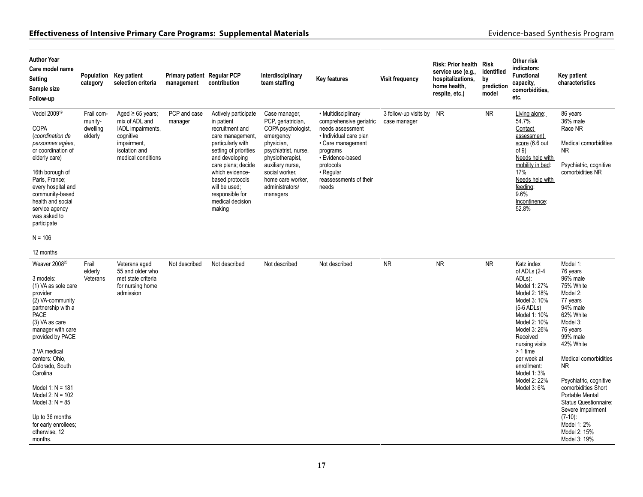| <b>Author Year</b><br>Care model name<br>Setting<br>Sample size<br>Follow-up                                                                                                                                                                                               | Population<br>category                       | Key patient<br>selection criteria                                                                                               | Primary patient Regular PCP<br>management | contribution                                                                                                                                                                                                                                                            | Interdisciplinary<br>team staffing                                                                                                                                                                                         | <b>Key features</b>                                                                                                                                                                                            | <b>Visit frequency</b>                   | Risk: Prior health Risk<br>service use (e.g.,<br>hospitalizations,<br>home health.<br>respite, etc.) | identified<br>by<br>prediction<br>model | Other risk<br>indicators:<br><b>Functional</b><br>capacity,<br>comorbidities,<br>etc.                                                                                                     | <b>Key patient</b><br>characteristics                                                                                                           |
|----------------------------------------------------------------------------------------------------------------------------------------------------------------------------------------------------------------------------------------------------------------------------|----------------------------------------------|---------------------------------------------------------------------------------------------------------------------------------|-------------------------------------------|-------------------------------------------------------------------------------------------------------------------------------------------------------------------------------------------------------------------------------------------------------------------------|----------------------------------------------------------------------------------------------------------------------------------------------------------------------------------------------------------------------------|----------------------------------------------------------------------------------------------------------------------------------------------------------------------------------------------------------------|------------------------------------------|------------------------------------------------------------------------------------------------------|-----------------------------------------|-------------------------------------------------------------------------------------------------------------------------------------------------------------------------------------------|-------------------------------------------------------------------------------------------------------------------------------------------------|
| Vedel 2009 <sup>19</sup><br><b>COPA</b><br>(coordination de<br>personnes agées,<br>or coordination of<br>elderly care)<br>16th borough of<br>Paris, France;<br>every hospital and<br>community-based<br>health and social<br>service agency<br>was asked to<br>participate | Frail com-<br>munity-<br>dwelling<br>elderly | Aged $\geq 65$ years;<br>mix of ADL and<br>IADL impairments,<br>cognitive<br>impairment,<br>isolation and<br>medical conditions | PCP and case<br>manager                   | Actively participate<br>in patient<br>recruitment and<br>care management,<br>particularly with<br>setting of priorities<br>and developing<br>care plans; decide<br>which evidence-<br>based protocols<br>will be used;<br>responsible for<br>medical decision<br>making | Case manager,<br>PCP, geriatrician,<br>COPA psychologist,<br>emergency<br>physician,<br>psychiatrist, nurse,<br>physiotherapist.<br>auxiliary nurse,<br>social worker,<br>home care worker.<br>administrators/<br>managers | • Multidisciplinary<br>comprehensive geriatric<br>needs assessment<br>· Individual care plan<br>• Care management<br>programs<br>• Evidence-based<br>protocols<br>· Regular<br>reassessments of their<br>needs | 3 follow-up visits by NR<br>case manager |                                                                                                      | <b>NR</b>                               | Living alone:<br>54.7%<br>Contact<br>assessment<br>score (6.6 out<br>of 9)<br>Needs help with<br>mobility in bed:<br>17%<br>Needs help with<br>feeding:<br>9.6%<br>Incontinence:<br>52.8% | 86 years<br>36% male<br>Race NR<br>Medical comorbidities<br><b>NR</b><br>Psychiatric, cognitive<br>comorbidities NR                             |
| $N = 106$                                                                                                                                                                                                                                                                  |                                              |                                                                                                                                 |                                           |                                                                                                                                                                                                                                                                         |                                                                                                                                                                                                                            |                                                                                                                                                                                                                |                                          |                                                                                                      |                                         |                                                                                                                                                                                           |                                                                                                                                                 |
| 12 months                                                                                                                                                                                                                                                                  |                                              |                                                                                                                                 |                                           |                                                                                                                                                                                                                                                                         |                                                                                                                                                                                                                            |                                                                                                                                                                                                                |                                          |                                                                                                      |                                         |                                                                                                                                                                                           |                                                                                                                                                 |
| Weaver 2008 <sup>20</sup><br>3 models:<br>(1) VA as sole care<br>provider<br>(2) VA-community<br>partnership with a<br><b>PACE</b><br>(3) VA as care<br>manager with care<br>provided by PACE                                                                              | Frail<br>elderly<br>Veterans                 | Veterans aged<br>55 and older who<br>met state criteria<br>for nursing home<br>admission                                        | Not described                             | Not described                                                                                                                                                                                                                                                           | Not described                                                                                                                                                                                                              | Not described                                                                                                                                                                                                  | <b>NR</b>                                | <b>NR</b>                                                                                            | <b>NR</b>                               | Katz index<br>of ADLs (2-4<br>ADL <sub>s</sub> ):<br>Model 1: 27%<br>Model 2: 18%<br>Model 3: 10%<br>$(5-6$ ADLs)<br>Model 1: 10%<br>Model 2: 10%<br>Model 3: 26%<br>Received             | Model 1:<br>76 years<br>96% male<br>75% White<br>Model 2:<br>77 years<br>94% male<br>62% White<br>Model 3:<br>76 years<br>99% male<br>42% White |
| 3 VA medical<br>centers: Ohio,<br>Colorado, South<br>Carolina                                                                                                                                                                                                              |                                              |                                                                                                                                 |                                           |                                                                                                                                                                                                                                                                         |                                                                                                                                                                                                                            |                                                                                                                                                                                                                |                                          |                                                                                                      |                                         | nursing visits<br>> 1 time<br>per week at<br>enrollment:<br>Model 1:3%                                                                                                                    | Medical comorbidities<br>NR                                                                                                                     |
| Model 1: $N = 181$<br>Model $2: N = 102$<br>Model $3: N = 85$                                                                                                                                                                                                              |                                              |                                                                                                                                 |                                           |                                                                                                                                                                                                                                                                         |                                                                                                                                                                                                                            |                                                                                                                                                                                                                |                                          |                                                                                                      | Model 2: 22%<br>Model 3: 6%             | Psychiatric, cognitive<br>comorbidities Short<br>Portable Mental<br><b>Status Questionnaire:</b><br>Severe Impairment                                                                     |                                                                                                                                                 |
| Up to 36 months<br>for early enrollees;<br>otherwise, 12<br>months.                                                                                                                                                                                                        |                                              |                                                                                                                                 |                                           |                                                                                                                                                                                                                                                                         |                                                                                                                                                                                                                            |                                                                                                                                                                                                                |                                          |                                                                                                      |                                         |                                                                                                                                                                                           | $(7-10)$ :<br>Model 1: 2%<br>Model 2: 15%<br>Model 3: 19%                                                                                       |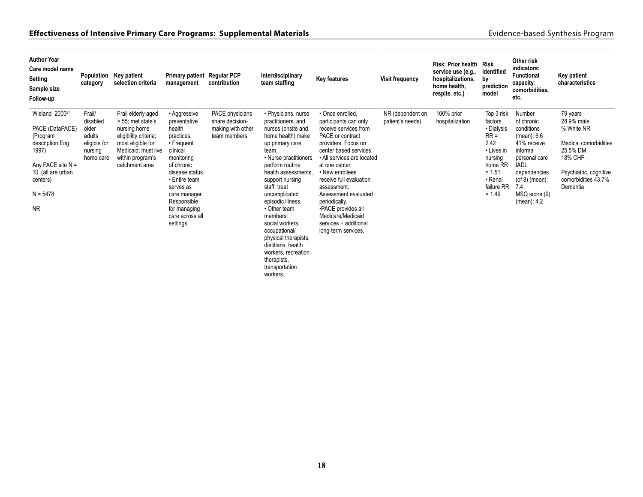| <b>Author Year</b><br>Care model name<br>Setting<br>Sample size<br>Follow-up                                                                                             | Population<br>category                                                        | Key patient<br>selection criteria                                                                                                                                  | Primary patient Regular PCP<br>management                                                                                                                                                                                                   | contribution                                                            | Interdisciplinary<br>team staffing                                                                                                                                                                                                                                                                                                                                                                                                             | Key features                                                                                                                                                                                                                                                                                                                                                                             | Visit frequency                      | Risk: Prior health Risk<br>service use (e.g.,<br>hospitalizations.<br>home health,<br>respite, etc.) | identified<br>by<br>prediction<br>model                                                                                                    | Other risk<br>indicators:<br><b>Functional</b><br>capacity,<br>comorbidities,<br>etc.                                                                                                       | Key patient<br>characteristics                                                                                                                    |
|--------------------------------------------------------------------------------------------------------------------------------------------------------------------------|-------------------------------------------------------------------------------|--------------------------------------------------------------------------------------------------------------------------------------------------------------------|---------------------------------------------------------------------------------------------------------------------------------------------------------------------------------------------------------------------------------------------|-------------------------------------------------------------------------|------------------------------------------------------------------------------------------------------------------------------------------------------------------------------------------------------------------------------------------------------------------------------------------------------------------------------------------------------------------------------------------------------------------------------------------------|------------------------------------------------------------------------------------------------------------------------------------------------------------------------------------------------------------------------------------------------------------------------------------------------------------------------------------------------------------------------------------------|--------------------------------------|------------------------------------------------------------------------------------------------------|--------------------------------------------------------------------------------------------------------------------------------------------|---------------------------------------------------------------------------------------------------------------------------------------------------------------------------------------------|---------------------------------------------------------------------------------------------------------------------------------------------------|
| Wieland 2000 <sup>21</sup><br>PACE (DataPACE)<br>(Program<br>description Eng<br>1997)<br>Any PACE site $N =$<br>10 (all are urban<br>centers)<br>$N = 5478$<br><b>NR</b> | Frail/<br>disabled<br>older<br>adults<br>eligible for<br>nursing<br>home care | Frail elderly aged<br>> 55; met state's<br>nursing home<br>eligibility criteria;<br>most eligible for<br>Medicaid; must live<br>within program's<br>catchment area | • Aggressive<br>preventative<br>health<br>practices.<br>• Frequent<br>clinical<br>monitoring<br>of chronic<br>disease status.<br>• Entire team<br>serves as<br>care manager.<br>Responsible<br>for managing<br>care across all<br>settings. | PACE physicians<br>share decision-<br>making with other<br>team members | • Physicians, nurse<br>practitioners, and<br>nurses (onsite and<br>home health) make<br>up primary care<br>team.<br>• Nurse practitioners<br>perform routine<br>health assessments.<br>support nursing<br>staff, treat<br>uncomplicated<br>episodic illness.<br>• Other team<br>members:<br>social workers.<br>occupational/<br>physical therapists,<br>dietitians, health<br>workers, recreation<br>therapists.<br>transportation<br>workers. | • Once enrolled,<br>participants can only<br>receive services from<br>PACE or contract<br>providers. Focus on<br>center based services.<br>• All services are located<br>at one center.<br>• New enrollees<br>receive full evaluation<br>assessment.<br>Assessment evaluated<br>periodically.<br>•PACE provides all<br>Medicare/Medicaid<br>services + additional<br>long-term services. | NR (dependent on<br>patient's needs) | 100% prior<br>hospitalization                                                                        | Top 3 risk<br>factors<br>• Dialysis<br>$RR =$<br>2.42<br>• Lives in<br>nursing<br>home RR<br>$= 1.51$<br>• Renal<br>failure RR<br>$= 1.49$ | Number<br>of chronic<br>conditions<br>(mean): 6.6<br>41% receive<br>informal<br>personal care<br><b>IADL</b><br>dependencies<br>$($ of 8 $)$ (mean):<br>7.4<br>MSQ score (9)<br>(mean): 4.2 | 79 years<br>28.9% male<br>% White NR<br>Medical comorbidities<br>25.5% DM<br>18% CHF<br>Psychiatric, cognitive<br>comorbidities 43.7%<br>Dementia |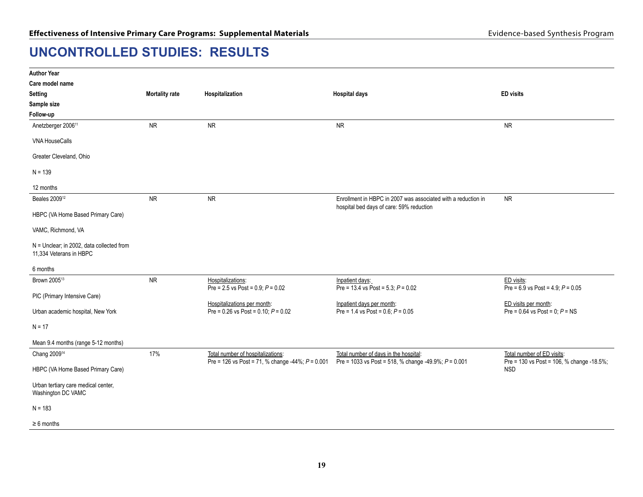# <span id="page-20-0"></span>**UNCONTROLLED STUDIES: RESULTS**

| <b>Author Year</b>                                                   |                       |                                                                                         |                                                                                                           |                                                                         |
|----------------------------------------------------------------------|-----------------------|-----------------------------------------------------------------------------------------|-----------------------------------------------------------------------------------------------------------|-------------------------------------------------------------------------|
| Care model name                                                      |                       |                                                                                         |                                                                                                           |                                                                         |
| <b>Setting</b>                                                       | <b>Mortality rate</b> | Hospitalization                                                                         | <b>Hospital days</b>                                                                                      | <b>ED</b> visits                                                        |
| Sample size                                                          |                       |                                                                                         |                                                                                                           |                                                                         |
| Follow-up                                                            |                       |                                                                                         |                                                                                                           |                                                                         |
| Anetzberger 2006 <sup>11</sup>                                       | <b>NR</b>             | ${\sf NR}$                                                                              | <b>NR</b>                                                                                                 | <b>NR</b>                                                               |
| <b>VNA HouseCalls</b>                                                |                       |                                                                                         |                                                                                                           |                                                                         |
| Greater Cleveland, Ohio                                              |                       |                                                                                         |                                                                                                           |                                                                         |
| $N = 139$                                                            |                       |                                                                                         |                                                                                                           |                                                                         |
| 12 months                                                            |                       |                                                                                         |                                                                                                           |                                                                         |
| Beales 2009 <sup>12</sup>                                            | <b>NR</b>             | <b>NR</b>                                                                               | Enrollment in HBPC in 2007 was associated with a reduction in<br>hospital bed days of care: 59% reduction | <b>NR</b>                                                               |
| HBPC (VA Home Based Primary Care)                                    |                       |                                                                                         |                                                                                                           |                                                                         |
| VAMC, Richmond, VA                                                   |                       |                                                                                         |                                                                                                           |                                                                         |
| N = Unclear; in 2002, data collected from<br>11,334 Veterans in HBPC |                       |                                                                                         |                                                                                                           |                                                                         |
| 6 months                                                             |                       |                                                                                         |                                                                                                           |                                                                         |
| Brown 2005 <sup>13</sup>                                             | <b>NR</b>             | Hospitalizations:<br>Pre = 2.5 vs Post = $0.9; P = 0.02$                                | Inpatient days:<br>Pre = 13.4 vs Post = 5.3, $P = 0.02$                                                   | ED visits:<br>Pre = $6.9$ vs Post = $4.9$ ; $P = 0.05$                  |
| PIC (Primary Intensive Care)                                         |                       |                                                                                         |                                                                                                           |                                                                         |
| Urban academic hospital, New York                                    |                       | Hospitalizations per month:<br>Pre = $0.26$ vs Post = $0.10$ ; $P = 0.02$               | Inpatient days per month:<br>Pre = $1.4$ vs Post = $0.6$ ; $P = 0.05$                                     | ED visits per month:<br>Pre = $0.64$ vs Post = $0, P = NS$              |
| $N = 17$                                                             |                       |                                                                                         |                                                                                                           |                                                                         |
| Mean 9.4 months (range 5-12 months)                                  |                       |                                                                                         |                                                                                                           |                                                                         |
| Chang 2009 <sup>14</sup>                                             | 17%                   | Total number of hospitalizations:<br>Pre = 126 vs Post = 71, % change -44%; $P = 0.001$ | Total number of days in the hospital:<br>Pre = 1033 vs Post = 518, % change -49.9%; $P = 0.001$           | Total number of ED visits:<br>Pre = 130 vs Post = 106, % change -18.5%; |
| HBPC (VA Home Based Primary Care)                                    |                       |                                                                                         |                                                                                                           | <b>NSD</b>                                                              |
| Urban tertiary care medical center,<br>Washington DC VAMC            |                       |                                                                                         |                                                                                                           |                                                                         |
| $N = 183$                                                            |                       |                                                                                         |                                                                                                           |                                                                         |
| $\geq 6$ months                                                      |                       |                                                                                         |                                                                                                           |                                                                         |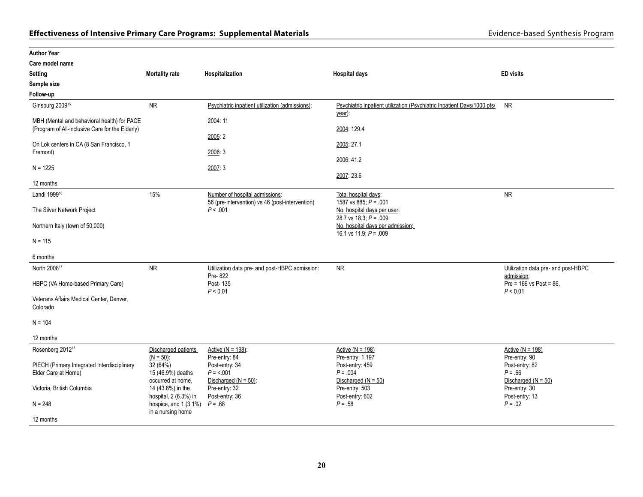| <b>Author Year</b>                                                                             |                                                   |                                                                                   |                                                                                   |                                                      |
|------------------------------------------------------------------------------------------------|---------------------------------------------------|-----------------------------------------------------------------------------------|-----------------------------------------------------------------------------------|------------------------------------------------------|
| Care model name                                                                                |                                                   |                                                                                   |                                                                                   |                                                      |
| <b>Setting</b>                                                                                 | <b>Mortality rate</b>                             | Hospitalization                                                                   | <b>Hospital days</b>                                                              | <b>ED</b> visits                                     |
| Sample size                                                                                    |                                                   |                                                                                   |                                                                                   |                                                      |
| Follow-up                                                                                      |                                                   |                                                                                   |                                                                                   |                                                      |
| Ginsburg 2009 <sup>15</sup>                                                                    | <b>NR</b>                                         | Psychiatric inpatient utilization (admissions):                                   | Psychiatric inpatient utilization (Psychiatric Inpatient Days/1000 pts/<br>year): | <b>NR</b>                                            |
| MBH (Mental and behavioral health) for PACE<br>(Program of All-inclusive Care for the Elderly) |                                                   | 2004: 11                                                                          | 2004: 129.4                                                                       |                                                      |
| On Lok centers in CA (8 San Francisco, 1<br>Fremont)                                           |                                                   | 2005:2<br>2006: 3                                                                 | 2005: 27.1                                                                        |                                                      |
| $N = 1225$                                                                                     |                                                   | 2007:3                                                                            | 2006: 41.2<br>2007: 23.6                                                          |                                                      |
| 12 months                                                                                      |                                                   |                                                                                   |                                                                                   |                                                      |
| Landi 1999 <sup>16</sup>                                                                       | 15%                                               | Number of hospital admissions:<br>56 (pre-intervention) vs 46 (post-intervention) | Total hospital days:<br>1587 vs 885; $P = .001$                                   | <b>NR</b>                                            |
| The Silver Network Project                                                                     |                                                   | P < .001                                                                          | No. hospital days per user:<br>28.7 vs 18.3; $P = .009$                           |                                                      |
| Northern Italy (town of 50,000)                                                                |                                                   |                                                                                   | No. hospital days per admission:<br>16.1 vs 11.9; $P = .009$                      |                                                      |
| $N = 115$                                                                                      |                                                   |                                                                                   |                                                                                   |                                                      |
| 6 months                                                                                       |                                                   |                                                                                   |                                                                                   |                                                      |
| North 2008 <sup>17</sup>                                                                       | <b>NR</b>                                         | Utilization data pre- and post-HBPC admission:<br>Pre-822                         | <b>NR</b>                                                                         | Utilization data pre- and post-HBPC<br>admission:    |
| HBPC (VA Home-based Primary Care)                                                              |                                                   | Post-135<br>P < 0.01                                                              |                                                                                   | Pre = 166 vs Post = 86,<br>P < 0.01                  |
| Veterans Affairs Medical Center, Denver,<br>Colorado                                           |                                                   |                                                                                   |                                                                                   |                                                      |
| $N = 104$                                                                                      |                                                   |                                                                                   |                                                                                   |                                                      |
| 12 months                                                                                      |                                                   |                                                                                   |                                                                                   |                                                      |
| Rosenberg 2012 <sup>18</sup>                                                                   | Discharged patients<br>$(N = 50)$ :               | Active $(N = 198)$ :<br>Pre-entry: 84                                             | <u>Active (N = 198)</u><br>Pre-entry: 1,197                                       | Active ( $N = 198$ )<br>Pre-entry: 90                |
| PIECH (Primary Integrated Interdisciplinary<br>Elder Care at Home)                             | 32(64%)<br>15 (46.9%) deaths<br>occurred at home, | Post-entry: 34<br>$P = 5.001$<br>Discharged ( $N = 50$ ):                         | Post-entry: 459<br>$P = 0.004$<br>Discharged ( $N = 50$ )                         | Post-entry: 82<br>$P = .66$<br>Discharged $(N = 50)$ |
| Victoria, British Columbia                                                                     | 14 (43.8%) in the<br>hospital, 2 (6.3%) in        | Pre-entry: 32<br>Post-entry: 36                                                   | Pre-entry: 503<br>Post-entry: 602                                                 | Pre-entry: 30<br>Post-entry: 13                      |
| $N = 248$                                                                                      | hospice, and 1 (3.1%)<br>in a nursing home        | $P = .68$                                                                         | $P = .58$                                                                         | $P = .02$                                            |
| 12 months                                                                                      |                                                   |                                                                                   |                                                                                   |                                                      |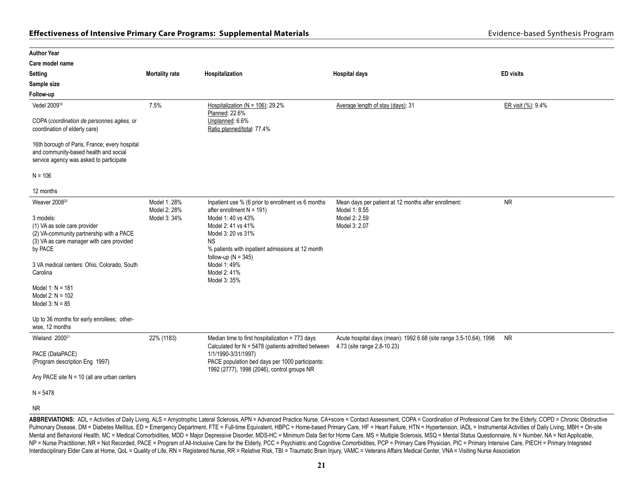| <b>Author Year</b>                                                                                                                                                                                                                                                                                                                                                       |                                              |                                                                                                                                                                                                                                                                                                  |                                                                                                         |                    |
|--------------------------------------------------------------------------------------------------------------------------------------------------------------------------------------------------------------------------------------------------------------------------------------------------------------------------------------------------------------------------|----------------------------------------------|--------------------------------------------------------------------------------------------------------------------------------------------------------------------------------------------------------------------------------------------------------------------------------------------------|---------------------------------------------------------------------------------------------------------|--------------------|
| Care model name                                                                                                                                                                                                                                                                                                                                                          |                                              |                                                                                                                                                                                                                                                                                                  |                                                                                                         |                    |
| <b>Setting</b>                                                                                                                                                                                                                                                                                                                                                           | <b>Mortality rate</b>                        | Hospitalization                                                                                                                                                                                                                                                                                  | <b>Hospital days</b>                                                                                    | <b>ED</b> visits   |
| Sample size                                                                                                                                                                                                                                                                                                                                                              |                                              |                                                                                                                                                                                                                                                                                                  |                                                                                                         |                    |
| Follow-up                                                                                                                                                                                                                                                                                                                                                                |                                              |                                                                                                                                                                                                                                                                                                  |                                                                                                         |                    |
| Vedel 2009 <sup>19</sup><br>COPA (coordination de personnes agées, or                                                                                                                                                                                                                                                                                                    | 7.5%                                         | Hospitalization ( $N = 106$ ): 29.2%<br>Planned: 22.6%<br>Unplanned: 6.6%                                                                                                                                                                                                                        | Average length of stay (days): 31                                                                       | ER visit (%): 9.4% |
| coordination of elderly care)<br>16th borough of Paris, France; every hospital<br>and community-based health and social<br>service agency was asked to participate<br>$N = 106$                                                                                                                                                                                          |                                              | Ratio planned/total: 77.4%                                                                                                                                                                                                                                                                       |                                                                                                         |                    |
| 12 months                                                                                                                                                                                                                                                                                                                                                                |                                              |                                                                                                                                                                                                                                                                                                  |                                                                                                         |                    |
| Weaver 2008 <sup>20</sup><br>3 models:<br>(1) VA as sole care provider<br>(2) VA-community partnership with a PACE<br>(3) VA as care manager with care provided<br>by PACE<br>3 VA medical centers: Ohio, Colorado, South<br>Carolina<br>Model 1: $N = 181$<br>Model 2: $N = 102$<br>Model $3: N = 85$<br>Up to 36 months for early enrollees; other-<br>wise, 12 months | Model 1: 28%<br>Model 2: 28%<br>Model 3: 34% | Inpatient use % (6 prior to enrollment vs 6 months<br>after enrollment $N = 191$ )<br>Model 1: 40 vs 43%<br>Model 2: 41 vs 41%<br>Model 3: 20 vs 31%<br><b>NS</b><br>% patients with inpatient admissions at 12 month<br>follow-up ( $N = 345$ )<br>Model 1: 49%<br>Model 2: 41%<br>Model 3: 35% | Mean days per patient at 12 months after enrollment:<br>Model 1: 8.55<br>Model 2: 2.59<br>Model 3: 2.07 | <b>NR</b>          |
| Wieland 2000 <sup>21</sup><br>PACE (DataPACE)<br>(Program description Eng 1997)<br>Any PACE site $N = 10$ (all are urban centers<br>$N = 5478$<br><b>NR</b>                                                                                                                                                                                                              | 22% (1183)                                   | Median time to first hospitalization = 773 days<br>Calculated for $N = 5478$ (patients admitted between<br>1/1/1990-3/31/1997)<br>PACE population bed days per 1000 participants:<br>1992 (2777), 1998 (2046), control groups NR                                                                 | Acute hospital days (mean): 1992 6.68 (site range 3.5-10.64), 1998<br>4.73 (site range 2.8-10.23)       | <b>NR</b>          |

ABBREVIATIONS: ADL = Activities of Daily Living, ALS = Amyotrophic Lateral Sclerosis, APN = Advanced Practice Nurse, CA+score = Contact Assessment, COPA = Coordination of Professional Care for the Elderly, COPD = Chronic O Pulmonary Disease, DM = Diabetes Mellitus, ED = Emergency Department, FTE = Full-time Equivalent, HBPC = Home-based Primary Care, HF = Heart Failure, HTN = Hypertension, IADL = Instrumental Activities of Daily Living, MBH Mental and Behavioral Health, MC = Medical Comorbidities, MDD = Major Depressive Disorder, MDS-HC = Minimum Data Set for Home Care, MS = Multiple Sclerosis, MSQ = Mental Status Questionnaire, N = Number, NA = Not Applicabl NP = Nurse Practitioner, NR = Not Recorded, PACE = Program of All-Inclusive Care for the Elderly, PCC = Psychiatric and Cognitive Comorbidities, PCP = Primary Care Physician, PIC = Primary Intensive Care, PIECH = Primary I Interdisciplinary Elder Care at Home, QoL = Quality of Life, RN = Registered Nurse, RR = Relative Risk, TBI = Traumatic Brain Injury, VAMC = Veterans Affairs Medical Center, VNA = Visiting Nurse Association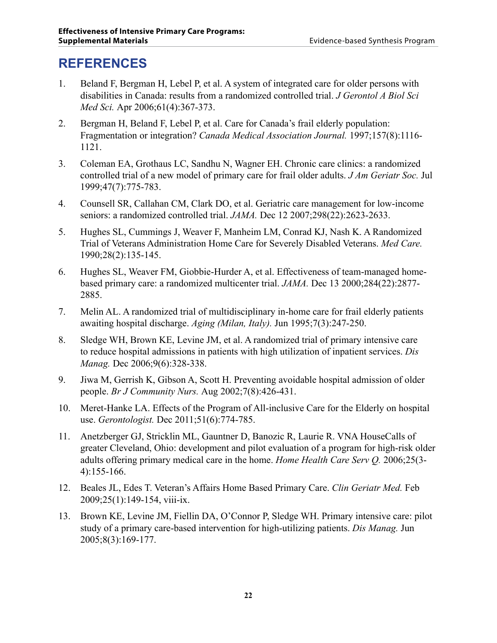# <span id="page-23-0"></span>**REFERENCES**

- 1. Beland F, Bergman H, Lebel P, et al. A system of integrated care for older persons with disabilities in Canada: results from a randomized controlled trial. *J Gerontol A Biol Sci Med Sci.* Apr 2006;61(4):367-373.
- 2. Bergman H, Beland F, Lebel P, et al. Care for Canada's frail elderly population: Fragmentation or integration? *Canada Medical Association Journal.* 1997;157(8):1116- 1121.
- 3. Coleman EA, Grothaus LC, Sandhu N, Wagner EH. Chronic care clinics: a randomized controlled trial of a new model of primary care for frail older adults. *J Am Geriatr Soc.* Jul 1999;47(7):775-783.
- 4. Counsell SR, Callahan CM, Clark DO, et al. Geriatric care management for low-income seniors: a randomized controlled trial. *JAMA.* Dec 12 2007;298(22):2623-2633.
- 5. Hughes SL, Cummings J, Weaver F, Manheim LM, Conrad KJ, Nash K. A Randomized Trial of Veterans Administration Home Care for Severely Disabled Veterans. *Med Care.*  1990;28(2):135-145.
- 6. Hughes SL, Weaver FM, Giobbie-Hurder A, et al. Effectiveness of team-managed homebased primary care: a randomized multicenter trial. *JAMA.* Dec 13 2000;284(22):2877- 2885.
- 7. Melin AL. A randomized trial of multidisciplinary in-home care for frail elderly patients awaiting hospital discharge. *Aging (Milan, Italy).* Jun 1995;7(3):247-250.
- 8. Sledge WH, Brown KE, Levine JM, et al. A randomized trial of primary intensive care to reduce hospital admissions in patients with high utilization of inpatient services. *Dis Manag.* Dec 2006;9(6):328-338.
- 9. Jiwa M, Gerrish K, Gibson A, Scott H. Preventing avoidable hospital admission of older people. *Br J Community Nurs.* Aug 2002;7(8):426-431.
- 10. Meret-Hanke LA. Effects of the Program of All-inclusive Care for the Elderly on hospital use. *Gerontologist.* Dec 2011;51(6):774-785.
- 11. Anetzberger GJ, Stricklin ML, Gauntner D, Banozic R, Laurie R. VNA HouseCalls of greater Cleveland, Ohio: development and pilot evaluation of a program for high-risk older adults offering primary medical care in the home. *Home Health Care Serv Q.* 2006;25(3- 4):155-166.
- 12. Beales JL, Edes T. Veteran's Affairs Home Based Primary Care. *Clin Geriatr Med.* Feb 2009;25(1):149-154, viii-ix.
- 13. Brown KE, Levine JM, Fiellin DA, O'Connor P, Sledge WH. Primary intensive care: pilot study of a primary care-based intervention for high-utilizing patients. *Dis Manag.* Jun 2005;8(3):169-177.